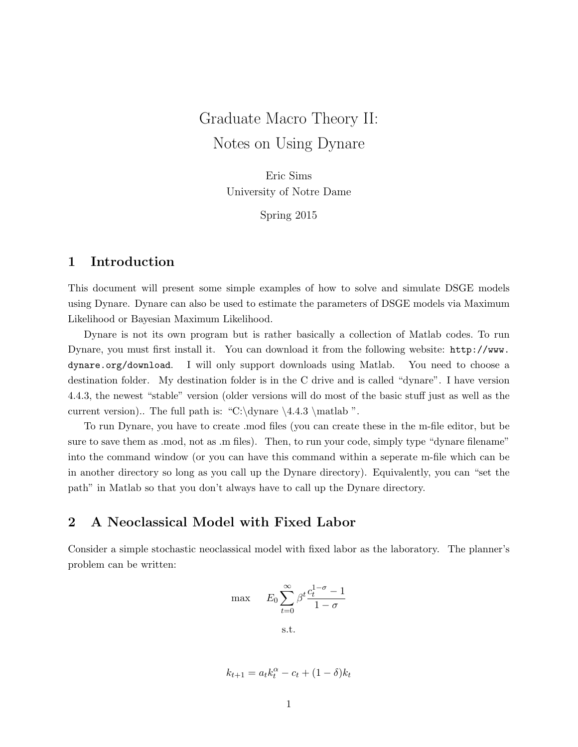# Graduate Macro Theory II: Notes on Using Dynare

Eric Sims University of Notre Dame

Spring 2015

# 1 Introduction

This document will present some simple examples of how to solve and simulate DSGE models using Dynare. Dynare can also be used to estimate the parameters of DSGE models via Maximum Likelihood or Bayesian Maximum Likelihood.

Dynare is not its own program but is rather basically a collection of Matlab codes. To run Dynare, you must first install it. You can download it from the following website: http://www. dynare.org/download. I will only support downloads using Matlab. You need to choose a destination folder. My destination folder is in the C drive and is called "dynare". I have version 4.4.3, the newest "stable" version (older versions will do most of the basic stuff just as well as the current version).. The full path is: "C:\dynare \4.4.3 \matlab ".

To run Dynare, you have to create .mod files (you can create these in the m-file editor, but be sure to save them as .mod, not as .m files). Then, to run your code, simply type "dynare filename" into the command window (or you can have this command within a seperate m-file which can be in another directory so long as you call up the Dynare directory). Equivalently, you can "set the path" in Matlab so that you don't always have to call up the Dynare directory.

# 2 A Neoclassical Model with Fixed Labor

Consider a simple stochastic neoclassical model with fixed labor as the laboratory. The planner's problem can be written:

$$
\max \t E_0 \sum_{t=0}^{\infty} \beta^t \frac{c_t^{1-\sigma} - 1}{1 - \sigma}
$$
  
s.t.

$$
k_{t+1} = a_t k_t^{\alpha} - c_t + (1 - \delta) k_t
$$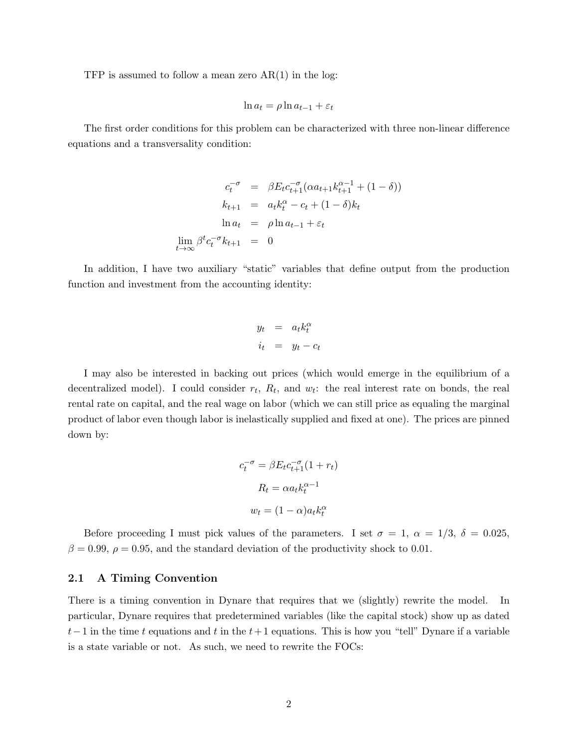TFP is assumed to follow a mean zero  $AR(1)$  in the log:

$$
\ln a_t = \rho \ln a_{t-1} + \varepsilon_t
$$

The first order conditions for this problem can be characterized with three non-linear difference equations and a transversality condition:

$$
c_t^{-\sigma} = \beta E_t c_{t+1}^{-\sigma} (\alpha a_{t+1} k_{t+1}^{\alpha - 1} + (1 - \delta))
$$
  
\n
$$
k_{t+1} = a_t k_t^{\alpha} - c_t + (1 - \delta) k_t
$$
  
\n
$$
\ln a_t = \rho \ln a_{t-1} + \varepsilon_t
$$
  
\n
$$
\lim_{t \to \infty} \beta^t c_t^{-\sigma} k_{t+1} = 0
$$

In addition, I have two auxiliary "static" variables that define output from the production function and investment from the accounting identity:

$$
y_t = a_t k_t^{\alpha}
$$
  

$$
i_t = y_t - c_t
$$

I may also be interested in backing out prices (which would emerge in the equilibrium of a decentralized model). I could consider  $r_t$ ,  $R_t$ , and  $w_t$ : the real interest rate on bonds, the real rental rate on capital, and the real wage on labor (which we can still price as equaling the marginal product of labor even though labor is inelastically supplied and fixed at one). The prices are pinned down by:

$$
c_t^{-\sigma} = \beta E_t c_{t+1}^{-\sigma} (1 + r_t)
$$

$$
R_t = \alpha a_t k_t^{\alpha - 1}
$$

$$
w_t = (1 - \alpha) a_t k_t^{\alpha}
$$

Before proceeding I must pick values of the parameters. I set  $\sigma = 1$ ,  $\alpha = 1/3$ ,  $\delta = 0.025$ ,  $\beta = 0.99, \rho = 0.95$ , and the standard deviation of the productivity shock to 0.01.

### 2.1 A Timing Convention

There is a timing convention in Dynare that requires that we (slightly) rewrite the model. In particular, Dynare requires that predetermined variables (like the capital stock) show up as dated  $t-1$  in the time t equations and t in the  $t+1$  equations. This is how you "tell" Dynare if a variable is a state variable or not. As such, we need to rewrite the FOCs: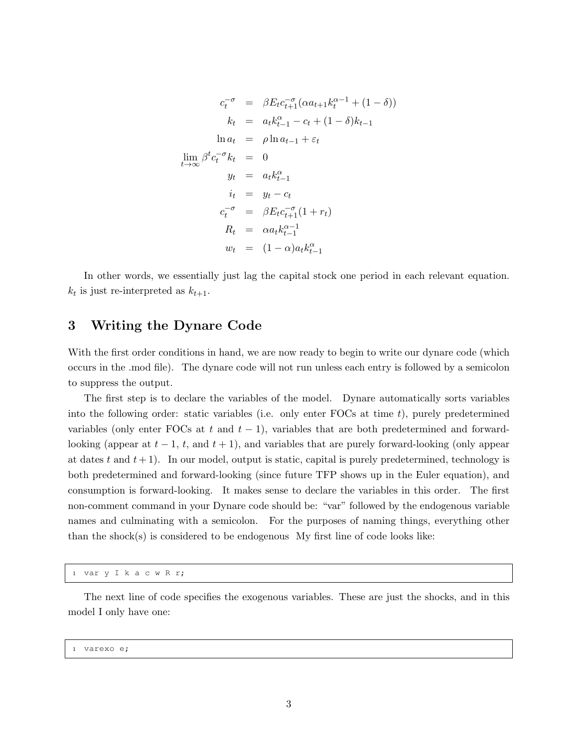$$
c_t^{-\sigma} = \beta E_t c_{t+1}^{-\sigma} (\alpha a_{t+1} k_t^{\alpha-1} + (1 - \delta))
$$
  
\n
$$
k_t = a_t k_{t-1}^{\alpha} - c_t + (1 - \delta) k_{t-1}
$$
  
\n
$$
\ln a_t = \rho \ln a_{t-1} + \varepsilon_t
$$
  
\n
$$
\lim_{t \to \infty} \beta^t c_t^{-\sigma} k_t = 0
$$
  
\n
$$
y_t = a_t k_{t-1}^{\alpha}
$$
  
\n
$$
i_t = y_t - c_t
$$
  
\n
$$
c_t^{-\sigma} = \beta E_t c_{t+1}^{-\sigma} (1 + r_t)
$$
  
\n
$$
R_t = \alpha a_t k_{t-1}^{\alpha-1}
$$
  
\n
$$
w_t = (1 - \alpha) a_t k_{t-1}^{\alpha}
$$

In other words, we essentially just lag the capital stock one period in each relevant equation.  $k_t$  is just re-interpreted as  $k_{t+1}$ .

# 3 Writing the Dynare Code

With the first order conditions in hand, we are now ready to begin to write our dynare code (which occurs in the .mod file). The dynare code will not run unless each entry is followed by a semicolon to suppress the output.

The first step is to declare the variables of the model. Dynare automatically sorts variables into the following order: static variables (i.e. only enter FOCs at time  $t$ ), purely predetermined variables (only enter FOCs at t and  $t - 1$ ), variables that are both predetermined and forwardlooking (appear at  $t-1$ ,  $t$ , and  $t+1$ ), and variables that are purely forward-looking (only appear at dates t and  $t + 1$ . In our model, output is static, capital is purely predetermined, technology is both predetermined and forward-looking (since future TFP shows up in the Euler equation), and consumption is forward-looking. It makes sense to declare the variables in this order. The first non-comment command in your Dynare code should be: "var" followed by the endogenous variable names and culminating with a semicolon. For the purposes of naming things, everything other than the shock(s) is considered to be endogenous My first line of code looks like:

```
1 var y I k a c w R r;
```
The next line of code specifies the exogenous variables. These are just the shocks, and in this model I only have one:

<sup>1</sup> varexo e;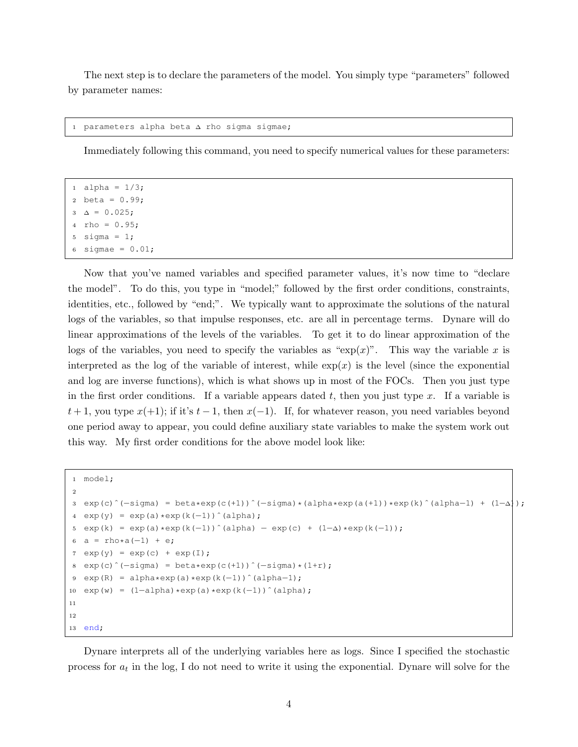The next step is to declare the parameters of the model. You simply type "parameters" followed by parameter names:

```
parameters alpha beta ∆ rho sigma sigmae;
```
Immediately following this command, you need to specify numerical values for these parameters:

```
alpha = 1/3;
2 beta = 0.99;
3 \Delta = 0.025;4 rho = 0.95;
5 sigma = 1;sigmae = 0.01;
```
Now that you've named variables and specified parameter values, it's now time to "declare the model". To do this, you type in "model;" followed by the first order conditions, constraints, identities, etc., followed by "end;". We typically want to approximate the solutions of the natural logs of the variables, so that impulse responses, etc. are all in percentage terms. Dynare will do linear approximations of the levels of the variables. To get it to do linear approximation of the logs of the variables, you need to specify the variables as " $\exp(x)$ ". This way the variable x is interpreted as the log of the variable of interest, while  $exp(x)$  is the level (since the exponential and log are inverse functions), which is what shows up in most of the FOCs. Then you just type in the first order conditions. If a variable appears dated  $t$ , then you just type  $x$ . If a variable is  $t + 1$ , you type  $x(+1)$ ; if it's  $t - 1$ , then  $x(-1)$ . If, for whatever reason, you need variables beyond one period away to appear, you could define auxiliary state variables to make the system work out this way. My first order conditions for the above model look like:

```
1 model;
2
3 exp(c)ˆ(−sigma) = beta*exp(c(+1))ˆ(−sigma)*(alpha*exp(a(+1))*exp(k)ˆ(alpha−1) + (1−∆));
4 \exp(y) = \exp(a) * \exp(k(-1))<sup>^</sup>(alpha);
5 exp(k) = exp(a)*exp(k(-1))^(alpha) - exp(c) + (1-\Delta)*exp(k(-1));
6 a = rho*a(-1) + e;
7 \exp(y) = \exp(c) + \exp(I);\text{exp}(c) (-\text{sigma}) = \text{beta} * \text{exp}(c(+1)) (-\text{sigma}) * (1+r);
9 \text{ exp}(R) = \text{alpha} * \text{exp}(a) * \text{exp}(k(-1))^{\wedge}(\text{alpha}-1);10 exp(w) = (1-a1pha)*exp(a)*exp(k(-1))^ (alpha);
11
12
13 end;
```
Dynare interprets all of the underlying variables here as logs. Since I specified the stochastic process for  $a_t$  in the log, I do not need to write it using the exponential. Dynare will solve for the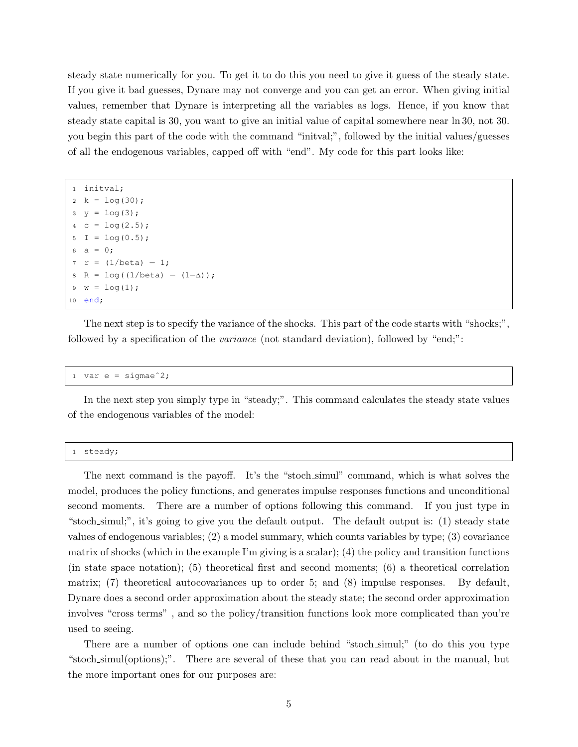steady state numerically for you. To get it to do this you need to give it guess of the steady state. If you give it bad guesses, Dynare may not converge and you can get an error. When giving initial values, remember that Dynare is interpreting all the variables as logs. Hence, if you know that steady state capital is 30, you want to give an initial value of capital somewhere near ln 30, not 30. you begin this part of the code with the command "initval;", followed by the initial values/guesses of all the endogenous variables, capped off with "end". My code for this part looks like:

```
initval;
2 k = log(30);3 \, y = \log(3);
   c = \log(2.5);
   I = log(0.5);a = 0;r = (1/beta) - 1;R = log((1/beta) - (1-\Delta));
9 \text{ w} = \log(1);
10 end;
```
The next step is to specify the variance of the shocks. This part of the code starts with "shocks;". followed by a specification of the variance (not standard deviation), followed by "end;":

1 var e = sigmae $2;$ 

In the next step you simply type in "steady;". This command calculates the steady state values of the endogenous variables of the model:

<sup>1</sup> steady;

The next command is the payoff. It's the "stoch simul" command, which is what solves the model, produces the policy functions, and generates impulse responses functions and unconditional second moments. There are a number of options following this command. If you just type in "stoch simul;", it's going to give you the default output. The default output is: (1) steady state values of endogenous variables; (2) a model summary, which counts variables by type; (3) covariance matrix of shocks (which in the example I'm giving is a scalar); (4) the policy and transition functions (in state space notation); (5) theoretical first and second moments; (6) a theoretical correlation matrix; (7) theoretical autocovariances up to order 5; and (8) impulse responses. By default, Dynare does a second order approximation about the steady state; the second order approximation involves "cross terms" , and so the policy/transition functions look more complicated than you're used to seeing.

There are a number of options one can include behind "stoch simul;" (to do this you type "stoch simul(options);". There are several of these that you can read about in the manual, but the more important ones for our purposes are: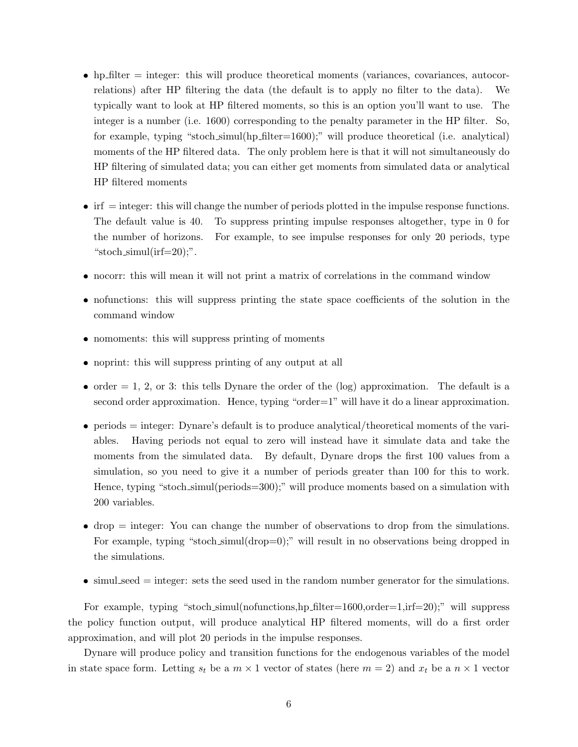- $\bullet$  hp filter = integer: this will produce theoretical moments (variances, covariances, autocorrelations) after HP filtering the data (the default is to apply no filter to the data). We typically want to look at HP filtered moments, so this is an option you'll want to use. The integer is a number (i.e. 1600) corresponding to the penalty parameter in the HP filter. So, for example, typing "stoch simul(hp filter=1600);" will produce theoretical (i.e. analytical) moments of the HP filtered data. The only problem here is that it will not simultaneously do HP filtering of simulated data; you can either get moments from simulated data or analytical HP filtered moments
- $\bullet$  irf  $=$  integer: this will change the number of periods plotted in the impulse response functions. The default value is 40. To suppress printing impulse responses altogether, type in 0 for the number of horizons. For example, to see impulse responses for only 20 periods, type "stoch\_simul(irf= $20$ );".
- nocorr: this will mean it will not print a matrix of correlations in the command window
- nofunctions: this will suppress printing the state space coefficients of the solution in the command window
- nomoments: this will suppress printing of moments
- noprint: this will suppress printing of any output at all
- $\bullet$  order = 1, 2, or 3: this tells Dynare the order of the (log) approximation. The default is a second order approximation. Hence, typing "order=1" will have it do a linear approximation.
- $\bullet$  periods = integer: Dynare's default is to produce analytical/theoretical moments of the variables. Having periods not equal to zero will instead have it simulate data and take the moments from the simulated data. By default, Dynare drops the first 100 values from a simulation, so you need to give it a number of periods greater than 100 for this to work. Hence, typing "stoch simul(periods=300);" will produce moments based on a simulation with 200 variables.
- $\bullet$  drop = integer: You can change the number of observations to drop from the simulations. For example, typing "stoch simul(drop=0);" will result in no observations being dropped in the simulations.
- $\bullet$  simul seed = integer: sets the seed used in the random number generator for the simulations.

For example, typing "stoch\_simul(nofunctions,hp\_filter=1600,order=1,irf=20);" will suppress the policy function output, will produce analytical HP filtered moments, will do a first order approximation, and will plot 20 periods in the impulse responses.

Dynare will produce policy and transition functions for the endogenous variables of the model in state space form. Letting  $s_t$  be a  $m \times 1$  vector of states (here  $m = 2$ ) and  $x_t$  be a  $n \times 1$  vector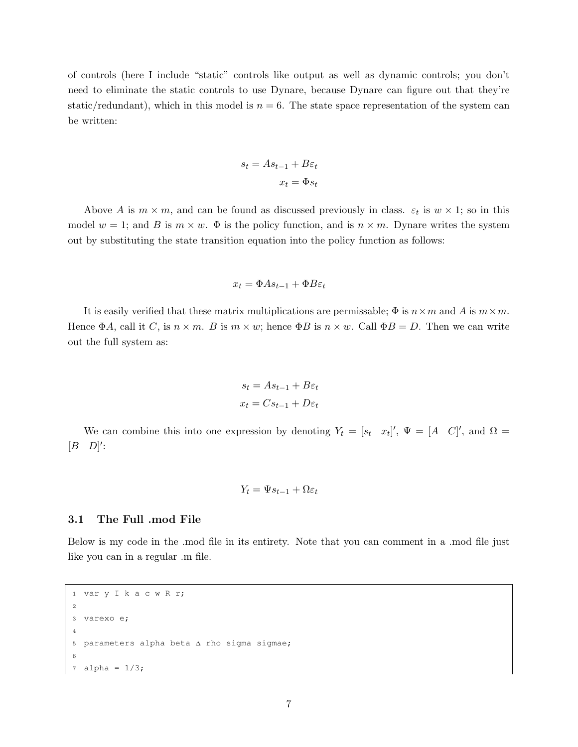of controls (here I include "static" controls like output as well as dynamic controls; you don't need to eliminate the static controls to use Dynare, because Dynare can figure out that they're static/redundant), which in this model is  $n = 6$ . The state space representation of the system can be written:

$$
s_t = As_{t-1} + B\varepsilon_t
$$

$$
x_t = \Phi s_t
$$

Above A is  $m \times m$ , and can be found as discussed previously in class.  $\varepsilon_t$  is  $w \times 1$ ; so in this model  $w = 1$ ; and B is  $m \times w$ .  $\Phi$  is the policy function, and is  $n \times m$ . Dynare writes the system out by substituting the state transition equation into the policy function as follows:

$$
x_t = \Phi A s_{t-1} + \Phi B \varepsilon_t
$$

It is easily verified that these matrix multiplications are permissable;  $\Phi$  is  $n \times m$  and A is  $m \times m$ . Hence  $\Phi A$ , call it C, is  $n \times m$ . B is  $m \times w$ ; hence  $\Phi B$  is  $n \times w$ . Call  $\Phi B = D$ . Then we can write out the full system as:

$$
s_t = As_{t-1} + B\varepsilon_t
$$

$$
x_t = Cs_{t-1} + D\varepsilon_t
$$

We can combine this into one expression by denoting  $Y_t = [s_t \ x_t]'$ ,  $\Psi = [A \ C]'$ , and  $\Omega =$  $[B \quad D]'$ :

$$
Y_t = \Psi s_{t-1} + \Omega \varepsilon_t
$$

### 3.1 The Full .mod File

Below is my code in the .mod file in its entirety. Note that you can comment in a .mod file just like you can in a regular .m file.

```
1 var y I k a c w R r;
2
3 varexo e;
4
5 parameters alpha beta ∆ rho sigma sigmae;
6
7 alpha = 1/3;
```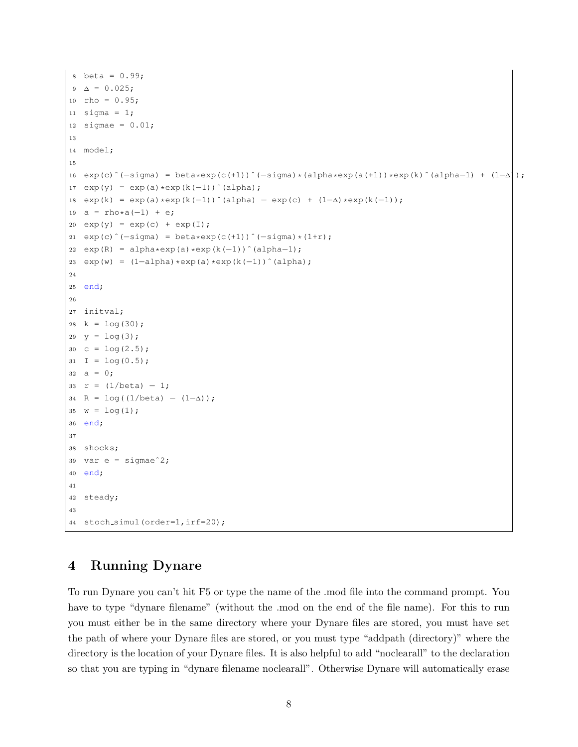```
8 \text{ beta} = 0.99;9 \Delta = 0.025;10 rho = 0.95;11 sigma = 1;
12 sigmae = 0.01;
13
14 model;
15
16 exp(c)^(−sigma) = beta*exp(c(+1))^(−sigma)*(alpha*exp(a(+1))*exp(k)^(alpha-1) + (1-\Delta));
17 exp(y) = exp(a) * exp(k(-1)) (alpha);
18 exp(k) = exp(a) * exp(k(-1))^(alpha) - exp(c) + (1-\Delta) * exp(k(-1));19 a = rho*a(-1) + e;
20 \exp(y) = \exp(c) + \exp(I);21 exp(c)ˆ(−sigma) = beta*exp(c(+1))ˆ(−sigma)*(1+r);
22 \exp(R) = \alpha \ln \exp(a) * \exp(k(-1))^ (alpha-1);
23 exp(w) = (1−a1pha) * exp(a) * exp(k(-1))^(alpha);
24
25 end;
26
27 initval;
28 k = \log(30);29 y = log(3);
30 c = \log(2.5);
31 I = \log(0.5);
32 \quad a = 0;33 r = (1/beta) - 1;34 R = \log((1/\text{beta}) - (1-\Delta));
35 w = log(1);36 end;
37
38 shocks;
39 var e = sigmaeˆ2;
40 end;
41
42 steady;
43
44 stoch_simul(order=1,irf=20);
```
# 4 Running Dynare

To run Dynare you can't hit F5 or type the name of the .mod file into the command prompt. You have to type "dynare filename" (without the .mod on the end of the file name). For this to run you must either be in the same directory where your Dynare files are stored, you must have set the path of where your Dynare files are stored, or you must type "addpath (directory)" where the directory is the location of your Dynare files. It is also helpful to add "noclearall" to the declaration so that you are typing in "dynare filename noclearall". Otherwise Dynare will automatically erase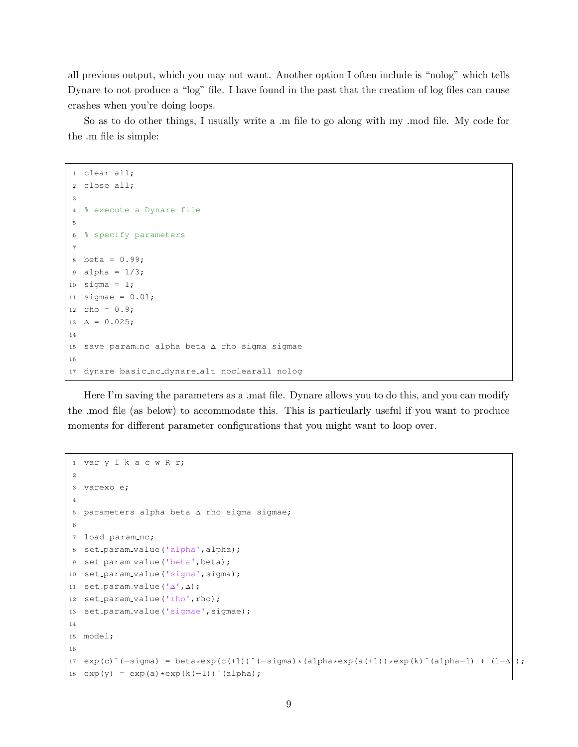all previous output, which you may not want. Another option I often include is "nolog" which tells Dynare to not produce a "log" file. I have found in the past that the creation of log files can cause crashes when you're doing loops.

So as to do other things, I usually write a .m file to go along with my .mod file. My code for the .m file is simple:

```
1 clear all;
2 close all;
3
4 % execute a Dynare file
5
6 % specify parameters
7
8 beta = 0.99;
9 alpha = 1/3;
10 sigma = 1;11 sigmae = 0.01;
12 rho = 0.9;13 \Delta = 0.025;
14
15 save param nc alpha beta ∆ rho sigma sigmae
16
17 dynare basic nc dynare alt noclearall nolog
```
Here I'm saving the parameters as a .mat file. Dynare allows you to do this, and you can modify the .mod file (as below) to accommodate this. This is particularly useful if you want to produce moments for different parameter configurations that you might want to loop over.

```
1 var y I k a c w R r;
\overline{2}3 varexo e;
4
5 parameters alpha beta ∆ rho sigma sigmae;
6
7 load param_nc;
8 set param value('alpha',alpha);
9 set_param_value('beta', beta);
10 set_param_value('sigma', sigma);
11 set param value('∆',∆);
12 set_param_value('rho', rho);
13 set_param_value('sigmae', sigmae);
14
15 model;
16
17 exp(c)^(-sigma) = beta*exp(c(+1))^(-sigma)*(alpha*exp(a(+1))*exp(k)^(alpha-1) + (1-\Delta));
18 exp(y) = exp(a) * exp(k(-1))^ (alpha);
```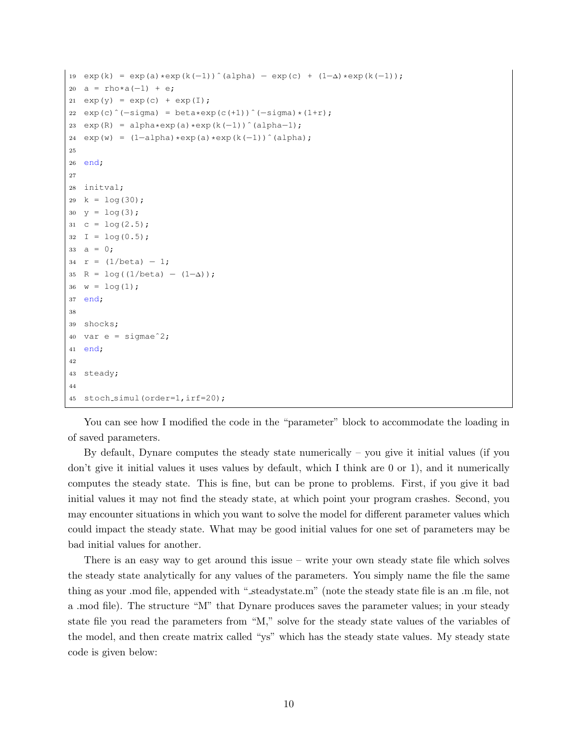```
19 exp(k) = exp(a) * exp(k(-1))^(alpha) - exp(c) + (1-\Delta) * exp(k(-1));
20 a = rho*a(-1) + e;
21 exp(y) = exp(c) + exp(I);22 \quad exp(c) (-signa) = beta*exp(c(+1)) (-signa)*(1+r);
23 exp(R) = alpha*exp(a)*exp(k(-1))^(alpha-1);
24 \exp(w) = (1-\alpha) \cdot \exp(a) \cdot \exp(k(-1))^ (alpha);
25
26 end;
27
28 initval;
29 k = \log(30);
30 y = \log(3);
31 c = \log(2.5);
32 I = \log(0.5);
33 a = 0;34 r = (1/beta) - 1;35 R = \log((1/\text{beta}) - (1-\Delta));
36 \text{ w} = \log(1);
37 end;
38
39 shocks;
40 var e = sigmae^2;
41 end;
42
43 steady;
44
45 stoch_simul(order=1,irf=20);
```
You can see how I modified the code in the "parameter" block to accommodate the loading in of saved parameters.

By default, Dynare computes the steady state numerically – you give it initial values (if you don't give it initial values it uses values by default, which I think are 0 or 1), and it numerically computes the steady state. This is fine, but can be prone to problems. First, if you give it bad initial values it may not find the steady state, at which point your program crashes. Second, you may encounter situations in which you want to solve the model for different parameter values which could impact the steady state. What may be good initial values for one set of parameters may be bad initial values for another.

There is an easy way to get around this issue – write your own steady state file which solves the steady state analytically for any values of the parameters. You simply name the file the same thing as your .mod file, appended with " steadystate.m" (note the steady state file is an .m file, not a .mod file). The structure "M" that Dynare produces saves the parameter values; in your steady state file you read the parameters from "M," solve for the steady state values of the variables of the model, and then create matrix called "ys" which has the steady state values. My steady state code is given below: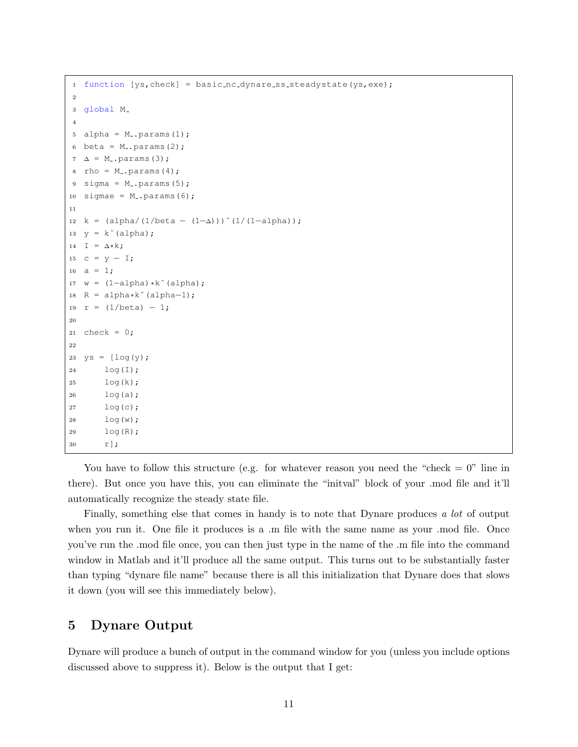```
1 function [ys, check] = basic_nc_dynare(ss-steadystate(ys,exe);\overline{2}3 global M
4
5 alpha = M<sub>-</sub>.params(1);
6 beta = M_{-}. params(2);
7 \Delta = M.params(3);
s rho = M<sub>-</sub>.params(4);
9 sigma = M_{-}. params(5);
10 sigmae = M_{-}. params(6);
11
12 k = (alpha/(1/beta – (1-\Delta)))^(1/(1-alpha));
13 y = k^{\text{}}(alpha);
14 I = \Delta * k;15 c = y - I;
16 a = 1;17 \text{ w} = (1-\text{alpha}) * k \text{ (alpha)};18 R = alpha*k^(alpha-1);
19 r = (1/beta) - 1;
20
21 check = 0;22
23 ys = [log(y);24 log(I);
25 log(k);
26 log(a);
27 log(c);
28 log(w);
29 log(R);
30 r];
```
You have to follow this structure (e.g. for whatever reason you need the "check  $= 0$ " line in there). But once you have this, you can eliminate the "initval" block of your .mod file and it'll automatically recognize the steady state file.

Finally, something else that comes in handy is to note that Dynare produces a lot of output when you run it. One file it produces is a  $\ldots$  file with the same name as your  $\ldots$  mod file. Once you've run the .mod file once, you can then just type in the name of the .m file into the command window in Matlab and it'll produce all the same output. This turns out to be substantially faster than typing "dynare file name" because there is all this initialization that Dynare does that slows it down (you will see this immediately below).

# 5 Dynare Output

Dynare will produce a bunch of output in the command window for you (unless you include options discussed above to suppress it). Below is the output that I get: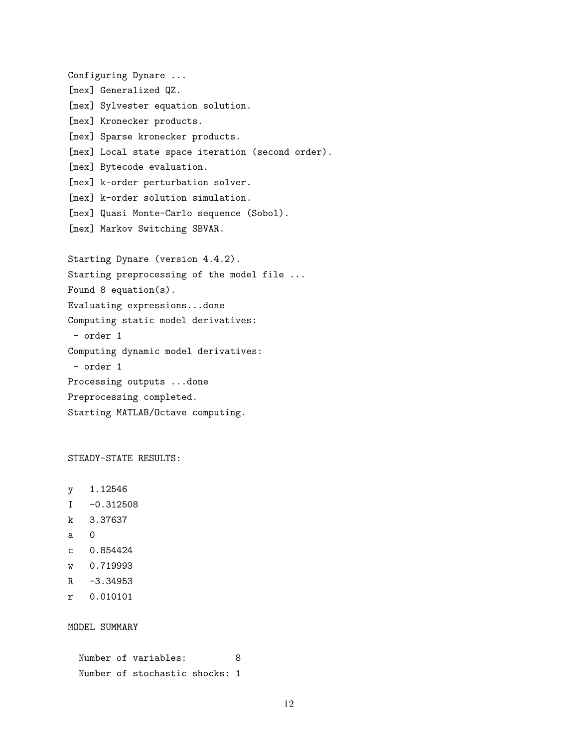Configuring Dynare ... [mex] Generalized QZ. [mex] Sylvester equation solution. [mex] Kronecker products. [mex] Sparse kronecker products. [mex] Local state space iteration (second order). [mex] Bytecode evaluation. [mex] k-order perturbation solver. [mex] k-order solution simulation. [mex] Quasi Monte-Carlo sequence (Sobol). [mex] Markov Switching SBVAR. Starting Dynare (version 4.4.2). Starting preprocessing of the model file ... Found 8 equation(s). Evaluating expressions...done Computing static model derivatives: - order 1 Computing dynamic model derivatives: - order 1 Processing outputs ...done Preprocessing completed. Starting MATLAB/Octave computing.

STEADY-STATE RESULTS:

- y 1.12546
- $I -0.312508$
- k 3.37637
- a 0
- c 0.854424
- w 0.719993
- $R -3.34953$
- r 0.010101

MODEL SUMMARY

Number of variables: 8 Number of stochastic shocks: 1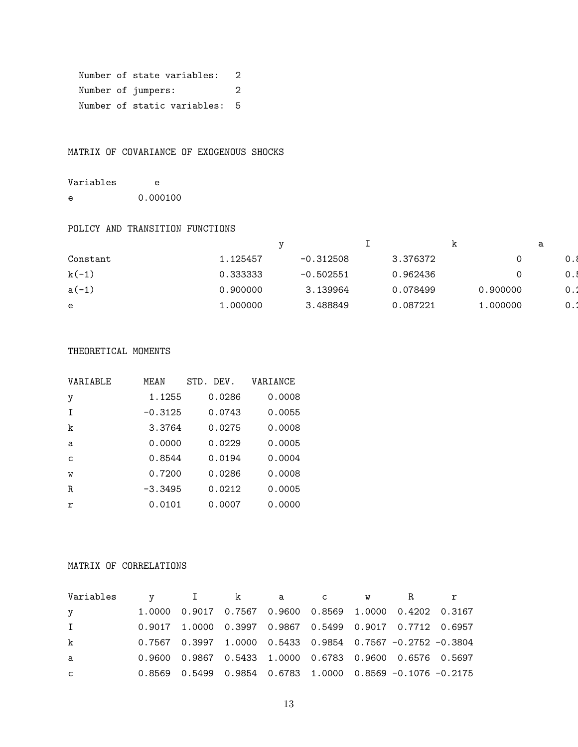```
Number of state variables: 2
Number of jumpers: 2
Number of static variables: 5
```
MATRIX OF COVARIANCE OF EXOGENOUS SHOCKS

Variables e e 0.000100

#### POLICY AND TRANSITION FUNCTIONS

|          |          |             |          | --      | ີ   |
|----------|----------|-------------|----------|---------|-----|
| Constant | .125457  | $-0.312508$ | 3.376372 |         | .   |
| $k(-1)$  | 0.333333 | $-0.502551$ | 0.962436 |         | ∪.; |
| $a(-1)$  | 0.900000 | 3.139964    | 0.078499 | .900000 | 0.1 |
| е        | .000000  | 3.488849    | 0.087221 | .000000 | 0.1 |
|          |          |             |          |         |     |

#### THEORETICAL MOMENTS

| VARIABLE     | MF.AN     | DEV.<br>STD. | VARIANCE |
|--------------|-----------|--------------|----------|
| y            | 1.1255    | 0.0286       | 0.0008   |
| $\mathsf{T}$ | $-0.3125$ | 0.0743       | 0.0055   |
| k            | 3.3764    | 0.0275       | 0.0008   |
| a            | 0.0000    | 0.0229       | 0.0005   |
| $\mathsf{C}$ | 0.8544    | 0.0194       | 0.0004   |
| W            | 0.7200    | 0.0286       | 0.0008   |
| R.           | $-3.3495$ | 0.0212       | 0.0005   |
| $\mathbf r$  | 0.0101    | 0.0007       | 0.0000   |

### MATRIX OF CORRELATIONS

| Variables    |  | v I kacw R                                                       |  |  |
|--------------|--|------------------------------------------------------------------|--|--|
| y            |  | 1.0000  0.9017  0.7567  0.9600  0.8569  1.0000  0.4202  0.3167   |  |  |
| $\mathbf{I}$ |  | $0.9017$ 1.0000 0.3997 0.9867 0.5499 0.9017 0.7712 0.6957        |  |  |
| k            |  | $0.7567$ 0.3997 1.0000 0.5433 0.9854 0.7567 -0.2752 -0.3804      |  |  |
| $\mathbf{a}$ |  | 0.9600  0.9867  0.5433  1.0000  0.6783  0.9600  0.6576  0.5697   |  |  |
| $\mathsf{C}$ |  | 0.8569  0.5499  0.9854  0.6783  1.0000  0.8569  -0.1076  -0.2175 |  |  |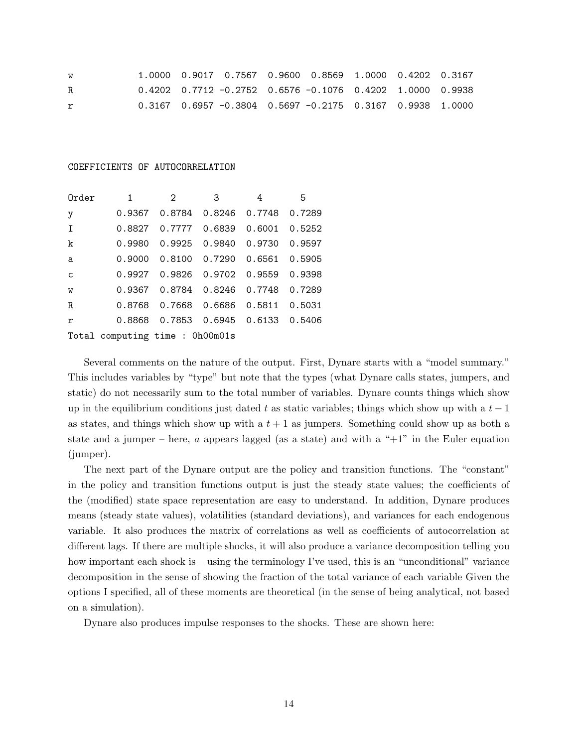| W  |  |  | $1.0000$ 0.9017 0.7567 0.9600 0.8569 1.0000 0.4202 0.3167   |  |  |
|----|--|--|-------------------------------------------------------------|--|--|
| R. |  |  | $0.4202$ 0.7712 -0.2752 0.6576 -0.1076 0.4202 1.0000 0.9938 |  |  |
| r  |  |  | $0.3167$ 0.6957 -0.3804 0.5697 -0.2175 0.3167 0.9938 1.0000 |  |  |

#### COEFFICIENTS OF AUTOCORRELATION

(jumper).

| Order          | $\mathbf{1}$                               | $\overline{2}$                         | $\overline{\mathbf{3}}$ | 4 | 5 |
|----------------|--------------------------------------------|----------------------------------------|-------------------------|---|---|
| y              |                                            | 0.9367  0.8784  0.8246  0.7748  0.7289 |                         |   |   |
| $\mathbf I$    |                                            | 0.8827 0.7777 0.6839 0.6001 0.5252     |                         |   |   |
| $\mathbf k$    | 0.9980  0.9925  0.9840  0.9730  0.9597     |                                        |                         |   |   |
| a              |                                            | 0.9000 0.8100 0.7290 0.6561 0.5905     |                         |   |   |
| $\mathbf{C}$   | 0.9927   0.9826   0.9702   0.9559   0.9398 |                                        |                         |   |   |
| $\overline{W}$ |                                            |                                        |                         |   |   |
| $\mathbb R$    |                                            | 0.8768 0.7668 0.6686 0.5811 0.5031     |                         |   |   |
| $\mathbf r$    |                                            | 0.8868 0.7853 0.6945 0.6133 0.5406     |                         |   |   |
|                | Total computing time : 0h00m01s            |                                        |                         |   |   |

Several comments on the nature of the output. First, Dynare starts with a "model summary." This includes variables by "type" but note that the types (what Dynare calls states, jumpers, and static) do not necessarily sum to the total number of variables. Dynare counts things which show up in the equilibrium conditions just dated t as static variables; things which show up with a  $t-1$ as states, and things which show up with a  $t + 1$  as jumpers. Something could show up as both a state and a jumper – here,  $\alpha$  appears lagged (as a state) and with a " $+1$ " in the Euler equation

The next part of the Dynare output are the policy and transition functions. The "constant" in the policy and transition functions output is just the steady state values; the coefficients of the (modified) state space representation are easy to understand. In addition, Dynare produces means (steady state values), volatilities (standard deviations), and variances for each endogenous variable. It also produces the matrix of correlations as well as coefficients of autocorrelation at different lags. If there are multiple shocks, it will also produce a variance decomposition telling you how important each shock is – using the terminology I've used, this is an "unconditional" variance decomposition in the sense of showing the fraction of the total variance of each variable Given the options I specified, all of these moments are theoretical (in the sense of being analytical, not based on a simulation).

Dynare also produces impulse responses to the shocks. These are shown here: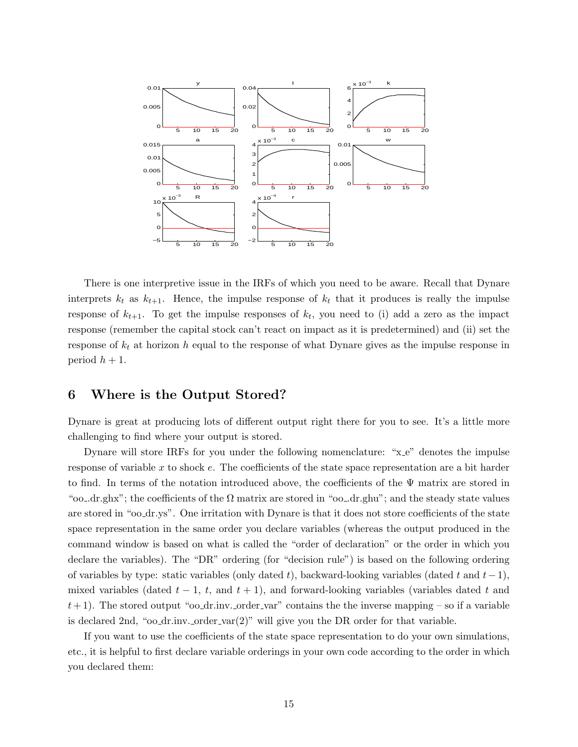

There is one interpretive issue in the IRFs of which you need to be aware. Recall that Dynare interprets  $k_t$  as  $k_{t+1}$ . Hence, the impulse response of  $k_t$  that it produces is really the impulse response of  $k_{t+1}$ . To get the impulse responses of  $k_t$ , you need to (i) add a zero as the impact response (remember the capital stock can't react on impact as it is predetermined) and (ii) set the response of  $k_t$  at horizon h equal to the response of what Dynare gives as the impulse response in period  $h + 1$ .

# 6 Where is the Output Stored?

Dynare is great at producing lots of different output right there for you to see. It's a little more challenging to find where your output is stored.

Dynare will store IRFs for you under the following nomenclature: "x<sub>-e</sub>" denotes the impulse response of variable x to shock e. The coefficients of the state space representation are a bit harder to find. In terms of the notation introduced above, the coefficients of the Ψ matrix are stored in "oo\_dr.ghx"; the coefficients of the  $\Omega$  matrix are stored in "oo\_dr.ghu"; and the steady state values are stored in "oo dr.ys". One irritation with Dynare is that it does not store coefficients of the state space representation in the same order you declare variables (whereas the output produced in the command window is based on what is called the "order of declaration" or the order in which you declare the variables). The "DR" ordering (for "decision rule") is based on the following ordering of variables by type: static variables (only dated t), backward-looking variables (dated t and  $t-1$ ), mixed variables (dated  $t - 1$ ,  $t$ , and  $t + 1$ ), and forward-looking variables (variables dated t and  $t+1$ ). The stored output "oo\_dr.inv. order var" contains the the inverse mapping – so if a variable is declared 2nd, "oo dr.inv. order var $(2)$ " will give you the DR order for that variable.

If you want to use the coefficients of the state space representation to do your own simulations, etc., it is helpful to first declare variable orderings in your own code according to the order in which you declared them: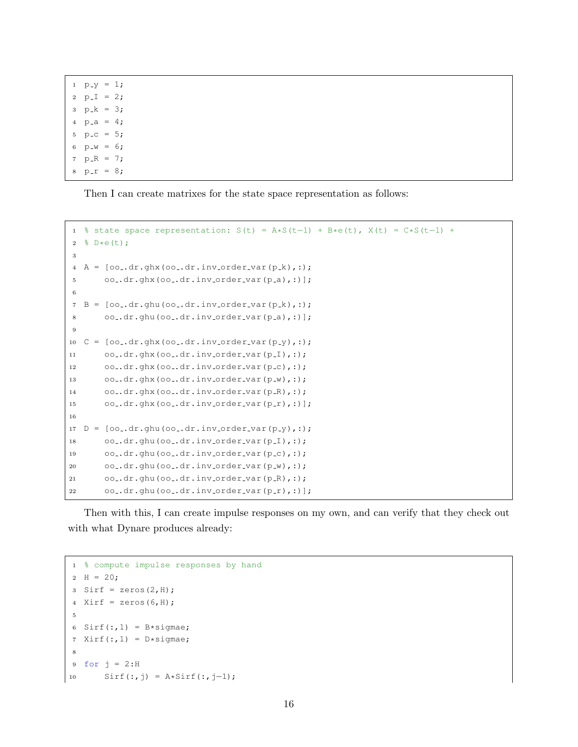$1 p_y = 1;$ 2  $p_I = 2;$  $3 \text{ p}_k = 3;$ 4  $p_{-}a = 4;$  $p_{-}c = 5;$ 6  $p_w = 6;$  $p_R = 7;$  $p-r = 8;$ 

Then I can create matrixes for the state space representation as follows:

```
1 % state space representation: S(t) = A*S(t−1) + B*e(t), X(t) = C*S(t−1) +
2 \frac{8}{5} D*e(t);
3
A = [oo..dr.ghx(oo..dr.inv-order-var(p_k),:);5 oo_.dr.ghx(oo_.dr.inv_order_var(p_a),:)];
6
7 B = [oo..dr.ghu(oo..dr.inv-order-var(p_k),:);8 00-.dr.ghu(00..dr.inv-order-var(p_a),:)];
9
10 C = [oo..dr.ghx(oo..dr.inv-order-var(p-y),:);11 oo-dr.ghx(oo-dr.inv-order-var(p-I),:);
12 oo..dr.ghx(oo..dr.inv_order_var(p_c),:);
13 oo ..dr.ghx(oo ..dr.inv order var(p _w),:);
14 oo..dr.ghx(oo..dr.inv_order_var(p_R),:);
15 oo-dr.ghx(oo-dr.inv-order-var(p_r),:)];
16
17 D = [oo..dr.ghu(oo..dr.inv-order-var(p-y),:);18 oo..dr.ghu(oo..dr.inv_order_var(p_I),:);
19 oo..dr.ghu(oo..dr.inv_order_var(p_c),:);
20 oo .dr.ghu(oo .dr.inv order var(p w),:);
21 oo .dr.ghu(oo .dr.inv order var(p (R), :);
22 oo .dr.ghu(oo .dr.inv order var(p_r),:)];
```
Then with this, I can create impulse responses on my own, and can verify that they check out with what Dynare produces already:

```
% compute impulse responses by hand
2 H = 20;3 Sirf = zeros(2,H);
4 Xirf = zeros(6, H);
5
6 Sirf(:,1) = B*sigmae;
7 Xirf(:,1) = D*sigma;8
9 for j = 2:H10 Sirf(:,j) = A*Sirf(:,j-1);
```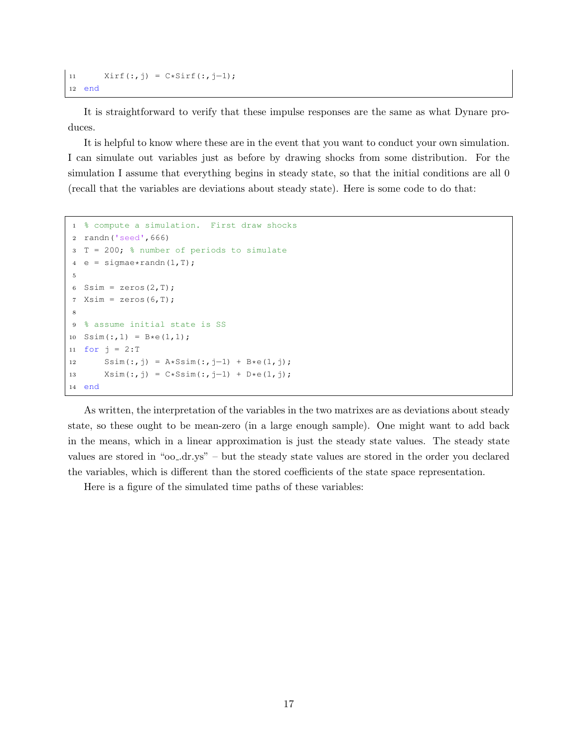```
11 Xirf(:,j) = C*Sirf(:,j-1);12 end
```
It is straightforward to verify that these impulse responses are the same as what Dynare produces.

It is helpful to know where these are in the event that you want to conduct your own simulation. I can simulate out variables just as before by drawing shocks from some distribution. For the simulation I assume that everything begins in steady state, so that the initial conditions are all 0 (recall that the variables are deviations about steady state). Here is some code to do that:

```
1 % compute a simulation. First draw shocks
2 randn('seed',666)
3 T = 200; % number of periods to simulate
4 e = sigmae*randn(1,T);
5
6 Ssim = zeros(2, T);
7 Xsim = zeros(6,T);
8
9 % assume initial state is SS
10 Ssim(:,1) = B*e(1,1);11 for i = 2:T12 Ssim(:,j) = A*Ssim (:,j-1) + B*e(1,j);13 X \sin(:, j) = C * S \sin(:, j-1) + D * e(1, j);14 end
```
As written, the interpretation of the variables in the two matrixes are as deviations about steady state, so these ought to be mean-zero (in a large enough sample). One might want to add back in the means, which in a linear approximation is just the steady state values. The steady state values are stored in "oo .dr.ys" – but the steady state values are stored in the order you declared the variables, which is different than the stored coefficients of the state space representation.

Here is a figure of the simulated time paths of these variables: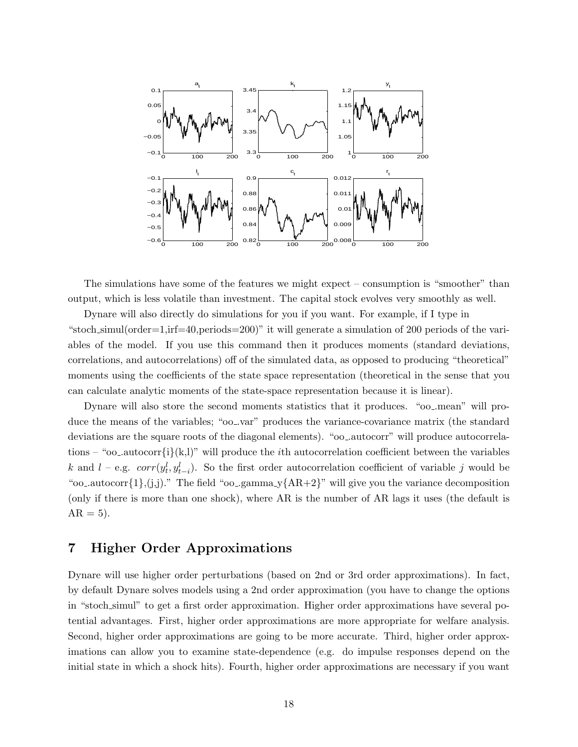

The simulations have some of the features we might expect – consumption is "smoother" than output, which is less volatile than investment. The capital stock evolves very smoothly as well.

Dynare will also directly do simulations for you if you want. For example, if I type in "stoch simul(order=1,irf=40,periods=200)" it will generate a simulation of 200 periods of the variables of the model. If you use this command then it produces moments (standard deviations, correlations, and autocorrelations) off of the simulated data, as opposed to producing "theoretical" moments using the coefficients of the state space representation (theoretical in the sense that you can calculate analytic moments of the state-space representation because it is linear).

Dynare will also store the second moments statistics that it produces. "oo .mean" will produce the means of the variables; "oo .var" produces the variance-covariance matrix (the standard deviations are the square roots of the diagonal elements). "oo ..autocorr" will produce autocorrelations – "oo\_autocorr $\{i\}(k,l)$ " will produce the *i*th autocorrelation coefficient between the variables k and l – e.g.  $corr(y_t^l, y_{t-i}^l)$ . So the first order autocorrelation coefficient of variable j would be "oo\_autocorr $\{1\}$ ,(j,j)." The field "oo\_gamma\_y $\{AR+2\}$ " will give you the variance decomposition (only if there is more than one shock), where AR is the number of AR lags it uses (the default is  $AR = 5$ ).

# 7 Higher Order Approximations

Dynare will use higher order perturbations (based on 2nd or 3rd order approximations). In fact, by default Dynare solves models using a 2nd order approximation (you have to change the options in "stoch simul" to get a first order approximation. Higher order approximations have several potential advantages. First, higher order approximations are more appropriate for welfare analysis. Second, higher order approximations are going to be more accurate. Third, higher order approximations can allow you to examine state-dependence (e.g. do impulse responses depend on the initial state in which a shock hits). Fourth, higher order approximations are necessary if you want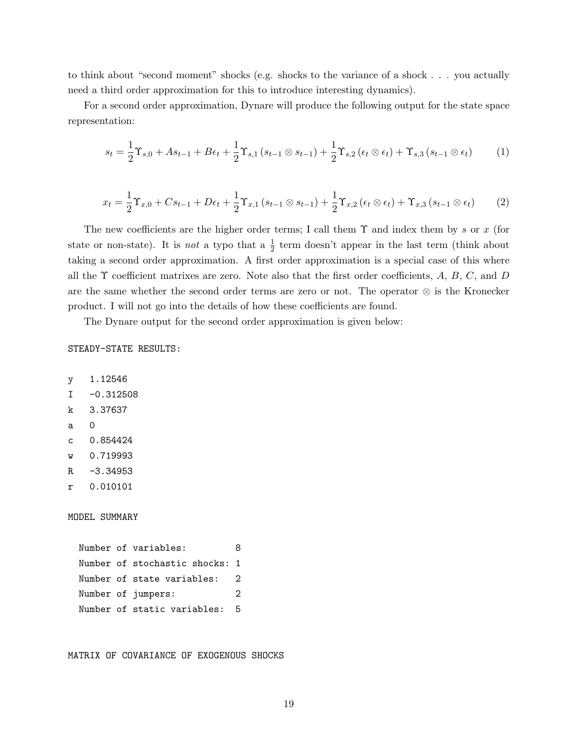to think about "second moment" shocks (e.g. shocks to the variance of a shock . . . you actually need a third order approximation for this to introduce interesting dynamics).

For a second order approximation, Dynare will produce the following output for the state space representation:

$$
s_{t} = \frac{1}{2}\Upsilon_{s,0} + As_{t-1} + B\epsilon_{t} + \frac{1}{2}\Upsilon_{s,1}\left(s_{t-1}\otimes s_{t-1}\right) + \frac{1}{2}\Upsilon_{s,2}\left(\epsilon_{t}\otimes\epsilon_{t}\right) + \Upsilon_{s,3}\left(s_{t-1}\otimes\epsilon_{t}\right) \tag{1}
$$

$$
x_{t} = \frac{1}{2} \Upsilon_{x,0} + Cs_{t-1} + D\epsilon_{t} + \frac{1}{2} \Upsilon_{x,1} (s_{t-1} \otimes s_{t-1}) + \frac{1}{2} \Upsilon_{x,2} (\epsilon_{t} \otimes \epsilon_{t}) + \Upsilon_{x,3} (s_{t-1} \otimes \epsilon_{t})
$$
(2)

The new coefficients are the higher order terms; I call them  $\Upsilon$  and index them by s or x (for state or non-state). It is *not* a typo that a  $\frac{1}{2}$  term doesn't appear in the last term (think about taking a second order approximation. A first order approximation is a special case of this where all the  $\Upsilon$  coefficient matrixes are zero. Note also that the first order coefficients, A, B, C, and D are the same whether the second order terms are zero or not. The operator ⊗ is the Kronecker product. I will not go into the details of how these coefficients are found.

The Dynare output for the second order approximation is given below:

STEADY-STATE RESULTS:

```
y 1.12546
I -0.312508
k 3.37637
a 0
c 0.854424
w 0.719993
R -3.34953
r 0.010101
MODEL SUMMARY
 Number of variables: 8
 Number of stochastic shocks: 1
 Number of state variables: 2
 Number of jumpers: 2
 Number of static variables: 5
```
MATRIX OF COVARIANCE OF EXOGENOUS SHOCKS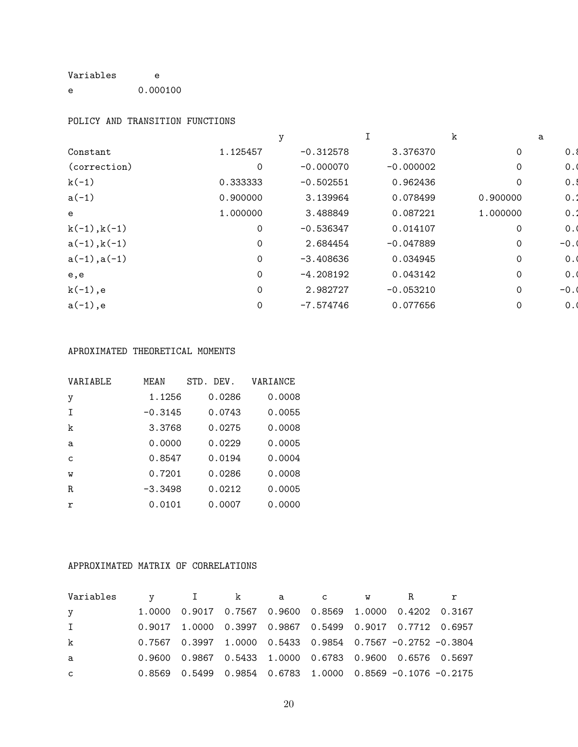# Variables e

e 0.000100

### POLICY AND TRANSITION FUNCTIONS

|                |                |             |             |          | а       |
|----------------|----------------|-------------|-------------|----------|---------|
| Constant       | 1.125457       | $-0.312578$ | 3.376370    | 0        | $0.\xi$ |
| (correction)   | $\overline{0}$ | $-0.000070$ | $-0.000002$ | $\Omega$ | 0.1     |
| $k(-1)$        | 0.333333       | $-0.502551$ | 0.962436    | $\Omega$ | 0.1     |
| $a(-1)$        | 0.900000       | 3.139964    | 0.078499    | 0.900000 | $0$ .   |
| e              | 1.000000       | 3.488849    | 0.087221    | 1.000000 | 0.2     |
| $k(-1), k(-1)$ | $\mathbf 0$    | $-0.536347$ | 0.014107    | 0        | 0.1     |
| $a(-1), k(-1)$ | $\mathbf 0$    | 2.684454    | $-0.047889$ |          | $-0.1$  |
| $a(-1), a(-1)$ | $\Omega$       | $-3.408636$ | 0.034945    | 0        | 0.1     |
| e,e            | 0              | $-4.208192$ | 0.043142    | 0        | 0.1     |
| $k(-1)$ ,e     | 0              | 2.982727    | $-0.053210$ | $\Omega$ | $-0.1$  |
| $a(-1)$ ,e     | 0              | -7.574746   | 0.077656    |          | 0.1     |

### APROXIMATED THEORETICAL MOMENTS

| VARIABLE     | MEAN      | STD.<br>DEV. | VARIANCE |
|--------------|-----------|--------------|----------|
| y            | 1.1256    | 0.0286       | 0.0008   |
| $\top$       | $-0.3145$ | 0.0743       | 0.0055   |
| k            | 3.3768    | 0.0275       | 0.0008   |
| a            | 0.0000    | 0.0229       | 0.0005   |
| $\mathsf{C}$ | 0.8547    | 0.0194       | 0.0004   |
| W            | 0.7201    | 0.0286       | 0.0008   |
| R.           | $-3.3498$ | 0.0212       | 0.0005   |
| r            | 0.0101    | 0.0007       | 0.0000   |

## APPROXIMATED MATRIX OF CORRELATIONS

| Variables    |  | v I kacw R |  |                                                                  |  |
|--------------|--|------------|--|------------------------------------------------------------------|--|
| y            |  |            |  | 1.0000  0.9017  0.7567  0.9600  0.8569  1.0000  0.4202  0.3167   |  |
| $\mathbf{I}$ |  |            |  | 0.9017 1.0000 0.3997 0.9867 0.5499 0.9017 0.7712 0.6957          |  |
| k            |  |            |  | $0.7567$ 0.3997 1.0000 0.5433 0.9854 0.7567 -0.2752 -0.3804      |  |
| a            |  |            |  | 0.9600  0.9867  0.5433  1.0000  0.6783  0.9600  0.6576  0.5697   |  |
| $\mathsf{C}$ |  |            |  | 0.8569  0.5499  0.9854  0.6783  1.0000  0.8569  -0.1076  -0.2175 |  |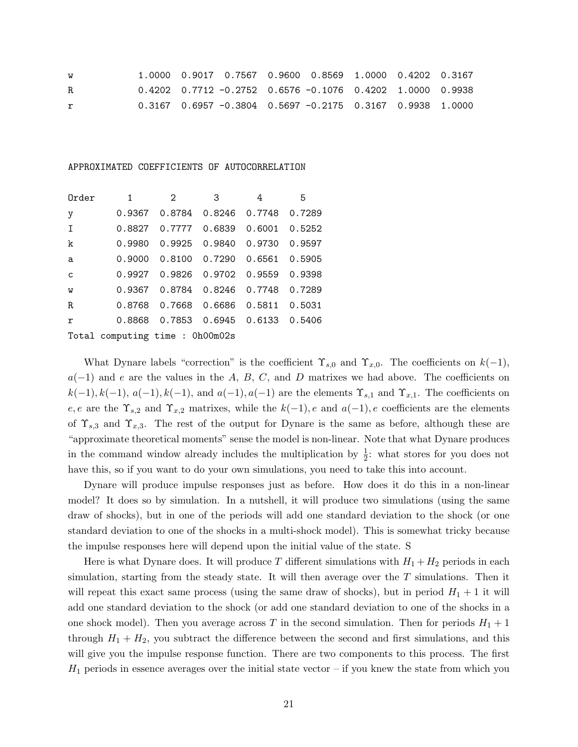| W  |  |  | $1.0000$ 0.9017 0.7567 0.9600 0.8569 1.0000 0.4202 0.3167   |  |  |
|----|--|--|-------------------------------------------------------------|--|--|
| R. |  |  | $0.4202$ 0.7712 -0.2752 0.6576 -0.1076 0.4202 1.0000 0.9938 |  |  |
| r  |  |  | $0.3167$ 0.6957 -0.3804 0.5697 -0.2175 0.3167 0.9938 1.0000 |  |  |

#### APPROXIMATED COEFFICIENTS OF AUTOCORRELATION

| Order        | $\mathbf{1}$                               | $\overline{2}$                     | $\overline{\mathbf{3}}$ | 4 | 5 |
|--------------|--------------------------------------------|------------------------------------|-------------------------|---|---|
| y            |                                            | 0.9367 0.8784 0.8246 0.7748 0.7289 |                         |   |   |
| $\mathbf I$  |                                            | 0.8827 0.7777 0.6839 0.6001 0.5252 |                         |   |   |
| k            |                                            |                                    |                         |   |   |
| a            |                                            |                                    |                         |   |   |
| $\mathsf{C}$ | 0.9927   0.9826   0.9702   0.9559   0.9398 |                                    |                         |   |   |
| $\mathbf w$  | 0.9367  0.8784  0.8246  0.7748  0.7289     |                                    |                         |   |   |
| $\mathbb R$  |                                            |                                    |                         |   |   |
| $\mathbf r$  |                                            | 0.8868 0.7853 0.6945 0.6133 0.5406 |                         |   |   |
|              | Total computing time: 0h00m02s             |                                    |                         |   |   |

What Dynare labels "correction" is the coefficient  $\Upsilon_{s,0}$  and  $\Upsilon_{x,0}$ . The coefficients on  $k(-1)$ ,  $a(-1)$  and e are the values in the A, B, C, and D matrixes we had above. The coefficients on  $k(-1), k(-1), a(-1), k(-1),$  and  $a(-1), a(-1)$  are the elements  $\Upsilon_{s,1}$  and  $\Upsilon_{x,1}$ . The coefficients on e, e are the  $\Upsilon_{s,2}$  and  $\Upsilon_{x,2}$  matrixes, while the  $k(-1)$ , e and  $a(-1)$ , e coefficients are the elements of  $\Upsilon_{s,3}$  and  $\Upsilon_{x,3}$ . The rest of the output for Dynare is the same as before, although these are "approximate theoretical moments" sense the model is non-linear. Note that what Dynare produces in the command window already includes the multiplication by  $\frac{1}{2}$ : what stores for you does not have this, so if you want to do your own simulations, you need to take this into account.

Dynare will produce impulse responses just as before. How does it do this in a non-linear model? It does so by simulation. In a nutshell, it will produce two simulations (using the same draw of shocks), but in one of the periods will add one standard deviation to the shock (or one standard deviation to one of the shocks in a multi-shock model). This is somewhat tricky because the impulse responses here will depend upon the initial value of the state. S

Here is what Dynare does. It will produce T different simulations with  $H_1 + H_2$  periods in each simulation, starting from the steady state. It will then average over the  $T$  simulations. Then it will repeat this exact same process (using the same draw of shocks), but in period  $H_1 + 1$  it will add one standard deviation to the shock (or add one standard deviation to one of the shocks in a one shock model). Then you average across T in the second simulation. Then for periods  $H_1 + 1$ through  $H_1 + H_2$ , you subtract the difference between the second and first simulations, and this will give you the impulse response function. There are two components to this process. The first  $H_1$  periods in essence averages over the initial state vector – if you knew the state from which you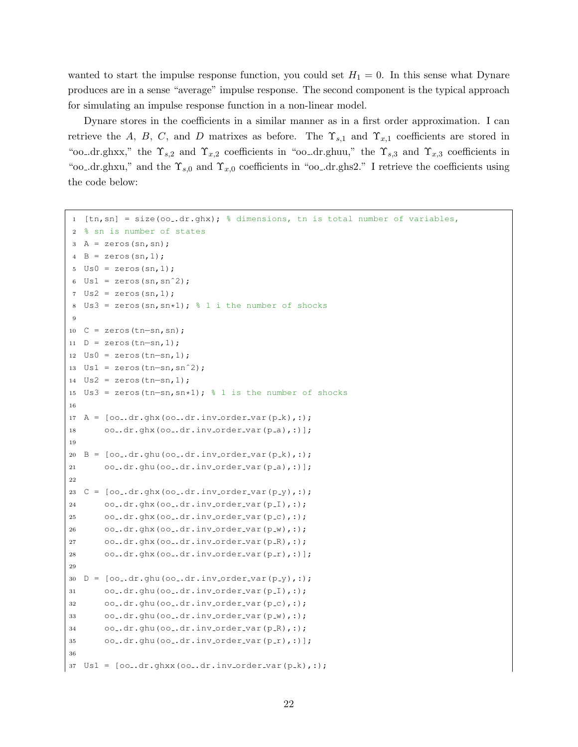wanted to start the impulse response function, you could set  $H_1 = 0$ . In this sense what Dynare produces are in a sense "average" impulse response. The second component is the typical approach for simulating an impulse response function in a non-linear model.

Dynare stores in the coefficients in a similar manner as in a first order approximation. I can retrieve the A, B, C, and D matrixes as before. The  $\Upsilon_{s,1}$  and  $\Upsilon_{x,1}$  coefficients are stored in "oo\_dr.ghxx," the  $\Upsilon_{s,2}$  and  $\Upsilon_{x,2}$  coefficients in "oo\_dr.ghuu," the  $\Upsilon_{s,3}$  and  $\Upsilon_{x,3}$  coefficients in "oo\_dr.ghxu," and the  $\Upsilon_{s,0}$  and  $\Upsilon_{x,0}$  coefficients in "oo\_dr.ghs2." I retrieve the coefficients using the code below:

```
1 [tn,sn] = size(oo..dr.ghx); % dimensions, tn is total number of variables,
2 % sn is number of states
  A = zeros(sin, sn);4 \text{ B} = \text{zeros}(\text{sn}, 1);
 5 \text{ US0} = \text{zeros}(\text{sn}, 1);Us1 = zeros(sin, sn^2);Us2 = zeros(sin,1);Us3 = zeros(sn, sn*1); \frac{1}{6} 1 i the number of shocks
\alpha10 C = zeros(tn−sn,sn);
11 D = zeros(tn-sn,1);12 Us0 = zeros(tn−sn,1);
13 Us1 = zeros(tn−sn,snˆ2);
14 Us2 = zeros(tn-sn,1);15 Us3 = zeros(tn−sn,sn*1); % 1 is the number of shocks
16
17 A = [oo..dr.ghx(oo..dr.inv-order-var(p.k),:);18 oo..dr.ghx(oo..dr.inv_order_var(p_a),:)];
19
20 \text{ B} = [\text{oo\_dr.ghu(oo\_dr.inv-order\_var(p_k),:)};21 oo .dr.ghu(oo .dr.inv order var(p a),:)];
22
23 C = [oo..dr.ghx(oo..dr.inv-order-var(p-y),:);24 oo..dr.ghx(oo..dr.inv_order_var(p_I),:);
25 oo..dr.ghx(oo..dr.inv_order_var(p_c),:);
26 oo..dr.ghx(oo..dr.inv_order_var(p_w),:);
27 oo..dr.ghx(oo..dr.inv_order_var(p_R),:);
28 oo .dr.ghx(oo .dr.inv order var(p r),:)];
29
30 D = [oo .dr.ghu(oo .dr.inv order var(p y),:);
31 oo .dr.ghu(oo .dr.inv order var(p (I),:);
32 oo..dr.ghu(oo..dr.inv_order_var(p_c),:);
33 oo..dr.ghu(oo..dr.inv_order_var(p_w),:);
34 oo_.dr.ghu(oo_.dr.inv_order_var(p_R),:);
35 oo .dr.ghu(oo .dr.inv order var(p_r),:)];
36
37 \text{ Us1} = [\text{oo\_dr.ghxx(oo\_dr.inv-order\_var(p_k),:)};
```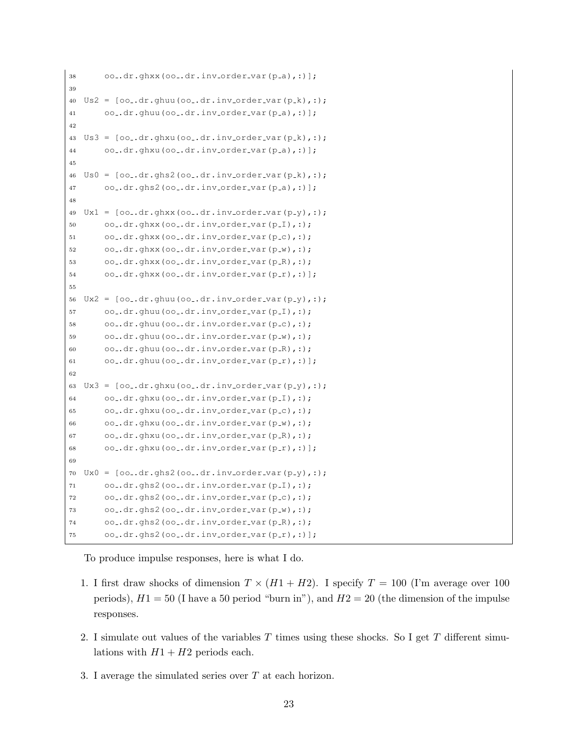```
38 oo_.dr.ghxx(oo_.dr.inv_order_var(p_a),:)];
39
40 \text{ US2} = [\text{oo\_dr.ghu}(00\text{...}dr.inv-order\_var(p_k),:);41 oo-dr.ghuu(oo-dr.inv-order-var(p-a),:)];
42
43 \text{ US3} = [\text{oo\_dr.ghxu(oo\_dr.inv-order-var(p_k),:)};44 oo .dr.ghxu(oo .dr.inv order var(p a),:)];
45
46 \text{ US0} = \text{[oo..dr.qhs2(oo..dr.inv.order-var(p.k),:)}47 oo-dr.ghs2(oo-dr.inv-order-var(p-a),:)];
48
49 \text{ Ux1} = [\text{oo\_dr.ghxx(oo\_dr.inv-order\_var(p-y),:)}]50 00-.dx, qhxx(00..dx). inv_order_var(p_1),;);
51 oo .dr.ghxx(oo .dr.inv order var(p c),:);
52 oo..dr.ghxx(oo..dr.inv_order_var(p_w),:);
53 oo_{-}.dr.ghxx(oo_{-}.dr.inv_{-}order_{-}var(p_{-}R),:);54 oo .dr.ghxx(oo .dr.inv order var(p_r),:)];
55
56 \text{ } Ux2 = \text{[oo..dr.ghuu(oo..dr.inv.order-var(p.y),:)};57 oo .dr.ghuu(oo .dr.inv order var(p \lceil), :);
58 oo .dr, qhu(oo, dr, inv, order var(p_c),;
59 oo-dr.ghuu(oo-.dr.inv-order-var(p-w),:);
60 oo-dr.ghuu(oo-dr.inv-order-var(p-R),:);
61 oo .dr.ghuu(oo .dr.inv order var(p r),:)];
62
63 Ux3 = \lceil o_0 \cdot dr \cdot g h x u \cdot (oo_0 \cdot dr \cdot inv_0 r^\prime dr - v^2 r^\prime dr \cdot (p_y \cdot r) \cdot r^\prime dr \cdot (f_0 \cdot g_0 \cdot r^\prime dr + g_0 \cdot r^\prime dr \cdot (f_0 \cdot g_0 \cdot r^\prime dr + g_0 \cdot r^\prime dr \cdot (f_0 \cdot g_0 \cdot r^\prime dr + g_0 \cdot r^\prime dr \cdot (f_0 \cdot g_0 \cdot r^\prime dr + g_0 \cdot r^\prime dr \cdot (f_0 \cdot g_0 \cdot r^\prime dr + g_0 \cdot r^\prime dr \cdot (f_0 \cdot g_0 \cdot r^\prime dr + g_0 \64 oo-dr.ghxu(oo-.dr.inv-order-var(p_I),:);
65 oo-dr.ghxu(oo-.dr.inv-order-var(p-c),:);
66 oo dr.ghxu(oo dr.inv order var(p_w),:);
67 oo.dr.ghxu(oo.dr.inv_order_var(p_R),:);
68 oo<sub>-</sub> dr. g h x u (oo<sub>-</sub>. dr. inv<sub>-</sub> order<sub>-</sub> var (p<sub>-</sub>r),:)];
69
70 \text{ } Ux0 = [oo_{-}.dr.ghs2(oo_{-}.dr.inv_{-}order_{-}var(p_{-}y),:);71 oo_.dr.ghs2(oo_.dr.inv_order_var(p_I),:);
72 oo..dr.ghs2(oo..dr.inv_order_var(p_c),:);
73 oo..dr.ghs2(oo..dr.inv_order_var(p_w),:);
74 oo..dr.ghs2(oo..dr.inv_order_var(p_R),:);
75 oo .dr.ghs2(oo .dr.inv order var(p_r),:)];
```
To produce impulse responses, here is what I do.

- 1. I first draw shocks of dimension  $T \times (H1 + H2)$ . I specify  $T = 100$  (I'm average over 100 periods),  $H1 = 50$  (I have a 50 period "burn in"), and  $H2 = 20$  (the dimension of the impulse responses.
- 2. I simulate out values of the variables  $T$  times using these shocks. So I get  $T$  different simulations with  $H1 + H2$  periods each.
- 3. I average the simulated series over T at each horizon.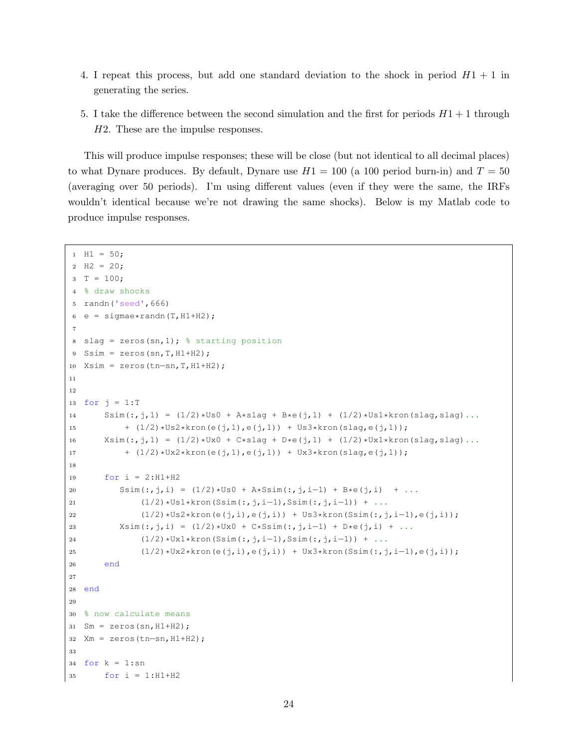- 4. I repeat this process, but add one standard deviation to the shock in period  $H_1 + 1$  in generating the series.
- 5. I take the difference between the second simulation and the first for periods  $H_1 + 1$  through H2. These are the impulse responses.

This will produce impulse responses; these will be close (but not identical to all decimal places) to what Dynare produces. By default, Dynare use  $H1 = 100$  (a 100 period burn-in) and  $T = 50$ (averaging over 50 periods). I'm using different values (even if they were the same, the IRFs wouldn't identical because we're not drawing the same shocks). Below is my Matlab code to produce impulse responses.

```
1 H1 = 50;
2 H2 = 20;3 T = 100;
4 % draw shocks
  5 randn('seed',666)
6 e = sigmae*randn(T, H1+H2);
7
8 slag = zeros(sn, 1); \frac{1}{2} starting position
9 Ssim = zeros(sn, T, H1+H2);
10 Xsim = zeros(tn−sn,T,H1+H2);
11
12
13 for j = 1:T14 Ssim(:,j,1) = (1/2)*US0 + A*flag + B*e(j,1) + (1/2)*Us1*kron(slag, slag)...15 + (1/2) * US2 * kron(e(j,1), e(j,1)) + US3 * kron(slag, e(j,1));16 X\sin(:,j,1) = (1/2)*Ux0 + C*flag + D*e(j,1) + (1/2)*Ux1*kron(slag, slag)...17 + (1/2) * Ux2 * kron(e(j,1), e(j,1)) + Ux3 * kron(slag, e(j,1));18
19 for i = 2:H1+H2
20 Ssim(:,j,i) = (1/2) * US0 + A * Ssim(:,j,i-1) + B*e(j,i) + ...
21 (1/2)*US1*kron(Ssim(:,j,i-1),Ssim(:,j,i-1)) + ...22 (1/2)*US2*kron(e(j,i),e(j,i)) + US3*kron(Ssim(:,j,i-1),e(j,i));23 Xsim(:,j,i) = (1/2)*Ux0 + C*Ssim(:,j,i-1) + D*e(j,i) + ...24 (1/2)*Ux1*kron(Ssim(:,j,i-1),Ssim(:,j,i-1)) + ...
25 (1/2)*Ux2*kron(e(j,i),e(j,i)) + Ux3*kron(Ssim(:,j,i-1),e(j,i));
26 end
27
28 end
29
30 % now calculate means
31 Sm = zeros(sn, H1+H2);
32 Xm = zeros(tn−sn,H1+H2);
33
34 for k = 1: sn
35 for i = 1:H1+H2
```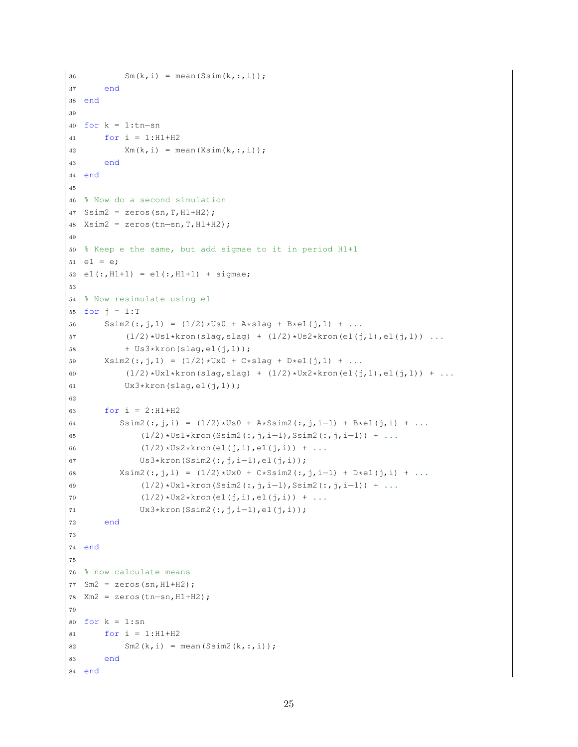```
36 \text{Sm}(k, i) = \text{mean}(Ssim(k, :, i));37 end
38 end
39
40 for k = 1:tn−sn
41 for i = 1:H1+H242 Xm(k, i) = mean(Xsim(k, :, i));43 end
44 end
45
46 % Now do a second simulation
47 Ssim2 = \text{zeros}(sn, T, H1+H2);
48 Xsim2 = zeros(tn−sn,T,H1+H2);
49
50 % Keep e the same, but add sigmae to it in period H1+1
51 \text{ } e1 = e;52 e1(:, H1+1) = e1(:, H1+1) + sigmae;
53
54 % Now resimulate using e1
55 for j = 1:T56 Ssim2(:, j, 1) = (1/2) *Us0 + A*slag + B*e1(j, 1) + ...
57 (1/2)*US1*kron(slag, slag) + (1/2)*Us2*kron(el(j,1),el(j,1)) ...58 + Us3*kron(slag, e1(j, 1));59 X \sin(2(:,j,1)) = (1/2) * U \times 0 + C * \sin(2(j,1)) + ...60 (1/2)*Ux1*kron(slag, slag) + (1/2)*Ux2*kron(el(j,1),el(j,1)) + ...61 Ux3*kron(slag, e1(i,1));62
63 for i = 2:H1+H2
64 Ssim2(:,j,i) = (1/2) * US0 + A * Ssim2 (:,j,i-1) + B*e1(j,i) + ...
65 (1/2)*Us1*kron(Ssim2(:,j,i-1),Ssim2(:,j,i-1)) + ...
66 (1/2) * Us2*kron(e1(j,i),e1(j,i)) + ...67 Us3*kron(Ssim2(:,j,i−1),e1(j,i));
68 X \sin(2(:,j,i)) = (1/2) * U \times 0 + C * S \sin(2(:,j,i-1)) + D * e1(j,i) + ...69 (1/2)*Ux1*kron(Ssim2(:,j,i-1),Ssim2(:,j,i-1)) + ...70 (1/2) *Ux2*kron(\text{el}(j,i),\text{el}(j,i)) + ...71 Ux3*kron(Ssim2(:,j,i−1),e1(j,i));
72 end
73
74 end
75
76 % now calculate means
77 Sm2 = zeros(sn, H1+H2);
78 Xm2 = zeros(tn-sn, H1+H2);
79
80 for k = 1:sn81 for i = 1:H1+H2
82 Sm2(k, i) = mean(Ssim2(k, :, i));
83 end
84 end
```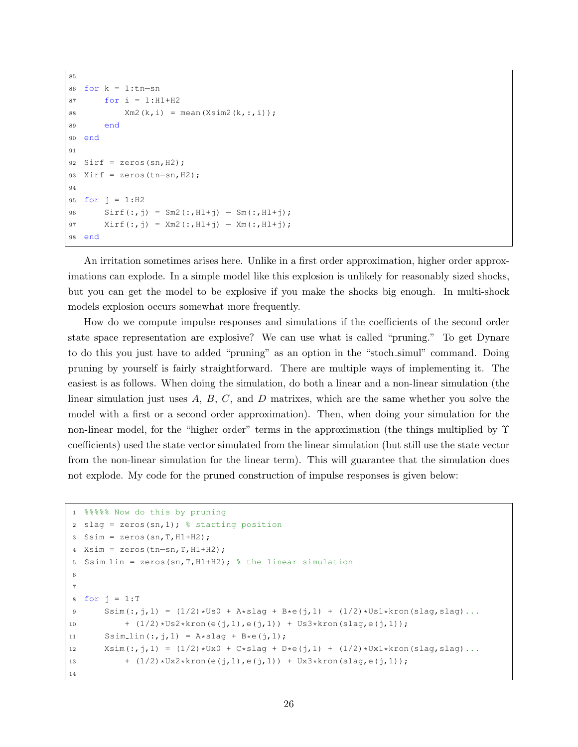```
85
86 for k = 1:tn−sn
87 for i = 1:H1+H2
88 Xm2(k, i) = mean(Xsim2(k, :, i));89 end
90 end
91
92 Sirf = zeros(sn, H2);
93 Xirf = zeros(tn-sn, H2);
94
95 for j = 1:H2
96 Sirf(:,j) = Sm2(:,H1+j) - Sm(:,H1+j);97 Xirf(:,j) = Xm2(:,H1+j) - Xm(:,H1+j);98 end
```
An irritation sometimes arises here. Unlike in a first order approximation, higher order approximations can explode. In a simple model like this explosion is unlikely for reasonably sized shocks, but you can get the model to be explosive if you make the shocks big enough. In multi-shock models explosion occurs somewhat more frequently.

How do we compute impulse responses and simulations if the coefficients of the second order state space representation are explosive? We can use what is called "pruning." To get Dynare to do this you just have to added "pruning" as an option in the "stoch simul" command. Doing pruning by yourself is fairly straightforward. There are multiple ways of implementing it. The easiest is as follows. When doing the simulation, do both a linear and a non-linear simulation (the linear simulation just uses  $A, B, C$ , and  $D$  matrixes, which are the same whether you solve the model with a first or a second order approximation). Then, when doing your simulation for the non-linear model, for the "higher order" terms in the approximation (the things multiplied by Υ coefficients) used the state vector simulated from the linear simulation (but still use the state vector from the non-linear simulation for the linear term). This will guarantee that the simulation does not explode. My code for the pruned construction of impulse responses is given below:

```
1 %%%%% Now do this by pruning
2 slag = zeros(sn, 1); \frac{1}{2} starting position
s Ssim = zeros(sn, T, H1+H2);
4 Xsim = zeros(tn−sn,T,H1+H2);
  Ssim_lin = zeros(sn, T, H1+H2); % the linear simulation
6
7
8 for j = 1:T9 Ssim(:,j,1) = (1/2)*US0 + A*slag + B*e(j,1) + (1/2)*Us1*kron(slag, slag)...10 + (1/2)*US2*kron(e(j,1),e(j,1)) + US3*kron(slag,e(j,1));11 Ssim<sub>-l</sub>in(:,j,1) = A*slag + B*e(j,1);12 X\sin(:,j,1) = (1/2)*Ux0 + C*flag + D*e(j,1) + (1/2)*Ux1*kron(slag, slag)...13 + (1/2) * Ux2 * kron(e(j,1),e(j,1)) + Ux3 * kron(slag,e(j,1));14
```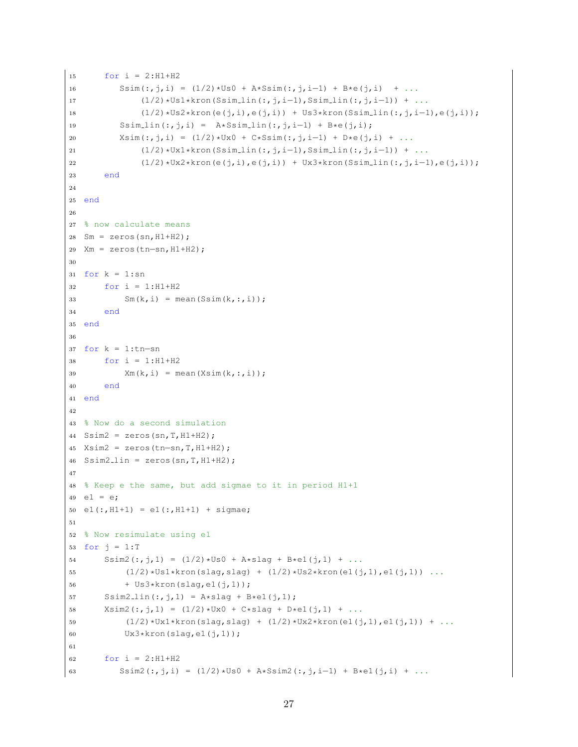```
15 for i = 2:H1+H2
16 Ssim(:,j,i) = (1/2) * US0 + A*Ssim(:,j,i-1) + B*e(j,i) + ...17 (1/2)*Us1*kron(Ssim_lin(:,j,i-1),Ssim_lin(:,j,i-1)) + ...
18 (1/2)*Us2*kron(e(j,i),e(j,i)) + Us3*kron(Ssim_lin(:,j,i-1),e(j,i));
19 Ssim_lin(:,j,i) = A*Ssim_lin(:,j,i-1) + B*e(j,i);
20 X\sin(:,j,i) = (1/2)*Ux0 + C*S\sin(:,j,i-1) + D*e(j,i) + ...21 (1/2)*Ux1*kron(Ssim_lin(:,j,i−1),Ssim_lin(:,j,i-1)) + ...
22 (1/2)*Ux2*kron(e(j,i),e(j,i)) + Ux3*kron(Ssim_lin(:,j,i-1),e(j,i));
23 end
24
25 end
26
27 % now calculate means
28 Sm = zeros(sn, H1+H2);
29 Xm = zeros(tn-sn, H1+H2);
30
31 for k = 1: sn
32 for i = 1:H1+H2
33 Sm(k, i) = mean(Ssim(k, :, i));
34 end
35 end
36
37 for k = 1:tn−sn
38 for i = 1:H1+H2
39 Xm(k,i) = mean(Xsim(k,i,i));40 end
41 end
42
43 % Now do a second simulation
44 Ssim2 = zeros(Sn, T, H1+H2);45 Xsim2 = zeros(tn−sn,T,H1+H2);
46 Ssim2_lin = zeros(sn, T, H1+H2);
47
48 % Keep e the same, but add sigmae to it in period H1+1
49 e1 = e;50 e1(:, H1+1) = e1(:, H1+1) + sigmae;
51
52 % Now resimulate using e1
53 for j = 1:T54 Ssim2(:,j,1) = (1/2)*US0 + A*flag + B*el(j,1) + ...55 (1/2)*US1*kron(slag, slag) + (1/2)*Us2*kron(el(j,1),el(j,1)) ...56 + Us3*kron(slag,e1(j,1));
57 Ssim2_lin(:,j,1) = A*slag + B*e1(j,1);
58 X \sin 2(:,j,1) = (1/2)*Ux0 + C*slag + D*el(j,1) + ...59 (1/2)*Ux1*kron(slag, slag) + (1/2)*Ux2*kron(el(j,1),el(j,1)) + ...60 Ux3*kron(slag,e1(j,1));
61
62 for i = 2:H1+H2
63 Ssim2(:,j,i) = (1/2) * \text{US0} + \text{A} * \text{SSim2}(:,j,i-1) + B*e1(j,i) + ...
```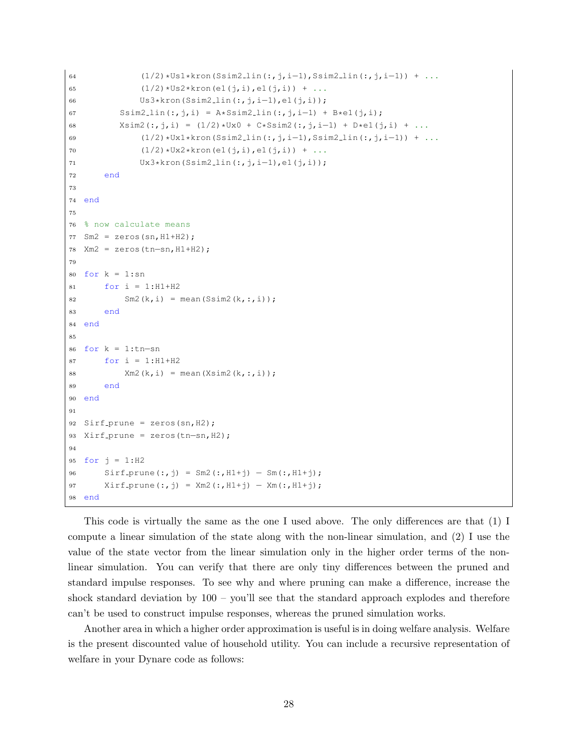```
64 (1/2) * Us1 * kron(Ssim2.1in(:,j,i-1),Ssim2.1in(:,j,i-1)) + ...65 (1/2) * Us2*kron(el(j,i),el(j,i)) + ...66 Us3*kron(Ssim2 lin(:,j,i−1),e1(j,i));
67 Ssim2_lin(:,j,i) = A*Ssim2_lin(:,j,i-1) + B*e1(j,i);
68 X\sin(2(:,j,i) = (1/2)*Ux0 + C*SSim2(:,j,i-1) + D*el(j,i) + ...69 (1/2)*Ux1*kron(Ssim2 lin(:,j,i−1),Ssim2 lin(:,j,i−1)) + ...
70 (1/2) *Ux2*kron(el(j,i),el(j,i)) + ...71 Ux3*kron(Ssim2 lin(:,i,i-1),el(i,i));72 end
73
74 end
75
76 % now calculate means
77 Sm2 = zeros(sn, H1+H2);
78 Xm2 = zeros(tn−sn,H1+H2);
79
80 for k = 1: sn
81 for i = 1:H1+H2
82 Sm2(k, i) = mean(Ssim2(k, :, i));
83 end
84 end
85
86 for k = 1:tn-sn87 for i = 1:H1+H288 Xm2(k, i) = mean(Xsim2(k, :, i));89 end
90 end
91
92 Sirf_prune = zeros(sin, H2);
93 Xirf_prune = zeros(tn-sn, H2);
94
95 for j = 1:H2
96 Sirf_prune(:,j) = Sm2(:,H1+j) – Sm(:,H1+j);
97 Xirf_prune(:,j) = Xm2(:,H1+j) – Xm(:,H1+j);
98 end
```
This code is virtually the same as the one I used above. The only differences are that (1) I compute a linear simulation of the state along with the non-linear simulation, and (2) I use the value of the state vector from the linear simulation only in the higher order terms of the nonlinear simulation. You can verify that there are only tiny differences between the pruned and standard impulse responses. To see why and where pruning can make a difference, increase the shock standard deviation by  $100 -$  you'll see that the standard approach explodes and therefore can't be used to construct impulse responses, whereas the pruned simulation works.

Another area in which a higher order approximation is useful is in doing welfare analysis. Welfare is the present discounted value of household utility. You can include a recursive representation of welfare in your Dynare code as follows: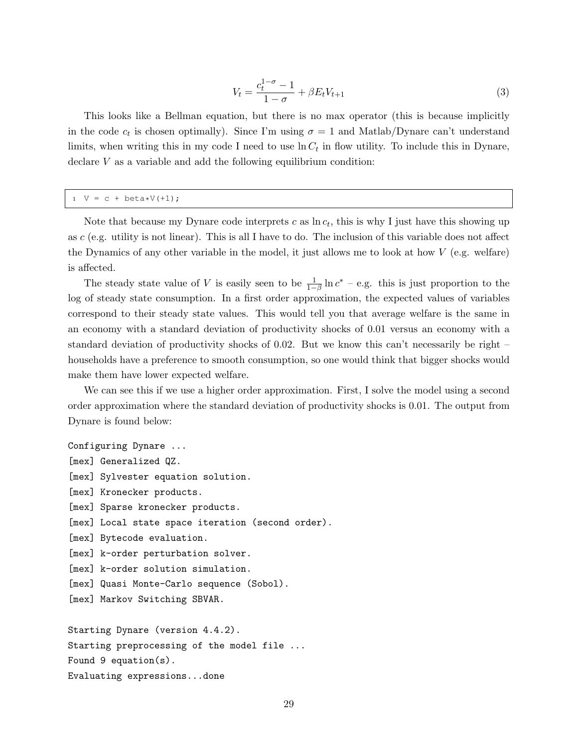$$
V_t = \frac{c_t^{1-\sigma} - 1}{1 - \sigma} + \beta E_t V_{t+1}
$$
\n(3)

This looks like a Bellman equation, but there is no max operator (this is because implicitly in the code  $c_t$  is chosen optimally). Since I'm using  $\sigma = 1$  and Matlab/Dynare can't understand limits, when writing this in my code I need to use  $\ln C_t$  in flow utility. To include this in Dynare, declare V as a variable and add the following equilibrium condition:

#### $1 \tV = c + beta*V(+1);$

Note that because my Dynare code interprets  $c$  as  $\ln c_t$ , this is why I just have this showing up as c (e.g. utility is not linear). This is all I have to do. The inclusion of this variable does not affect the Dynamics of any other variable in the model, it just allows me to look at how V (e.g. welfare) is affected.

The steady state value of V is easily seen to be  $\frac{1}{1-\beta} \ln c^* -$  e.g. this is just proportion to the log of steady state consumption. In a first order approximation, the expected values of variables correspond to their steady state values. This would tell you that average welfare is the same in an economy with a standard deviation of productivity shocks of 0.01 versus an economy with a standard deviation of productivity shocks of 0.02. But we know this can't necessarily be right – households have a preference to smooth consumption, so one would think that bigger shocks would make them have lower expected welfare.

We can see this if we use a higher order approximation. First, I solve the model using a second order approximation where the standard deviation of productivity shocks is 0.01. The output from Dynare is found below:

Configuring Dynare ... [mex] Generalized QZ. [mex] Sylvester equation solution. [mex] Kronecker products. [mex] Sparse kronecker products. [mex] Local state space iteration (second order). [mex] Bytecode evaluation. [mex] k-order perturbation solver. [mex] k-order solution simulation. [mex] Quasi Monte-Carlo sequence (Sobol). [mex] Markov Switching SBVAR. Starting Dynare (version 4.4.2). Starting preprocessing of the model file ... Found 9 equation(s).

Evaluating expressions...done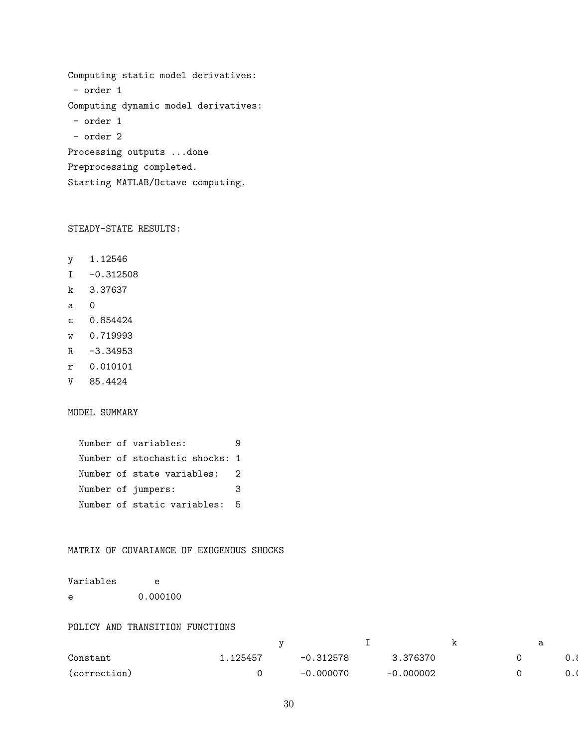```
Computing static model derivatives:
 - order 1
Computing dynamic model derivatives:
- order 1
- order 2
Processing outputs ...done
Preprocessing completed.
Starting MATLAB/Octave computing.
```
STEADY-STATE RESULTS:

- y 1.12546
- $I -0.312508$
- k 3.37637
- a 0
- c 0.854424
- w 0.719993
- R -3.34953
- r 0.010101
- V 85.4424

MODEL SUMMARY

```
Number of variables: 9
Number of stochastic shocks: 1
Number of state variables: 2
Number of jumpers: 3
Number of static variables: 5
```
### MATRIX OF COVARIANCE OF EXOGENOUS SHOCKS

| Variables  | e        |
|------------|----------|
| $\epsilon$ | 0.000100 |

#### POLICY AND TRANSITION FUNCTIONS

|                                                                                                                                 |         |         |               | -- |  |
|---------------------------------------------------------------------------------------------------------------------------------|---------|---------|---------------|----|--|
| Constant                                                                                                                        | .125457 | ,312578 | .376370       |    |  |
| the contract of the contract of the contract of the contract of the contract of the contract of the contract of<br>(correction) |         | .000070 | .000002<br>-0 |    |  |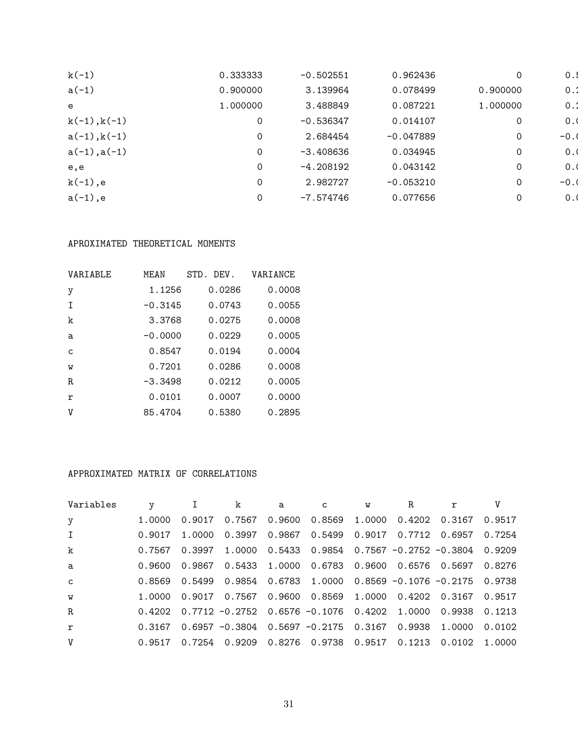| $k(-1)$        | 0.333333 | $-0.502551$ | 0.962436    | 0           | 0.1    |
|----------------|----------|-------------|-------------|-------------|--------|
| $a(-1)$        | 0.900000 | 3.139964    | 0.078499    | 0.900000    | 0.1    |
| e              | 1.000000 | 3.488849    | 0.087221    | 1.000000    | $0$ .  |
| $k(-1), k(-1)$ | 0        | $-0.536347$ | 0.014107    | 0           | 0.1    |
| $a(-1), k(-1)$ | 0        | 2.684454    | $-0.047889$ | $\mathbf 0$ | $-0.0$ |
| $a(-1), a(-1)$ | 0        | $-3.408636$ | 0.034945    | 0           | 0.1    |
| e,e            | 0        | $-4.208192$ | 0.043142    | 0           | 0.1    |
| $k(-1)$ ,e     | $\Omega$ | 2.982727    | $-0.053210$ | $\Omega$    | $-0.0$ |
| $a(-1), e$     | 0        | $-7.574746$ | 0.077656    | 0           | 0.1    |

# APROXIMATED THEORETICAL MOMENTS

| VARIABLE     | MF.AN     | DEV.<br>STD. | VARIANCE |
|--------------|-----------|--------------|----------|
| y            | 1.1256    | 0.0286       | 0.0008   |
| $\mathbf I$  | $-0.3145$ | 0.0743       | 0.0055   |
| k            | 3.3768    | 0.0275       | 0.0008   |
| a            | $-0.0000$ | 0.0229       | 0.0005   |
| $\mathsf{C}$ | 0.8547    | 0.0194       | 0.0004   |
| W            | 0.7201    | 0.0286       | 0.0008   |
| R.           | $-3.3498$ | 0.0212       | 0.0005   |
| $\mathbf r$  | 0.0101    | 0.0007       | 0.0000   |
| V            | 85.4704   | 0.5380       | 0.2895   |

# APPROXIMATED MATRIX OF CORRELATIONS

| Variables    | $\mathbf{y}$ |        | k             | a             | $\mathsf{C}$ | W | R. |                                                                          |        |
|--------------|--------------|--------|---------------|---------------|--------------|---|----|--------------------------------------------------------------------------|--------|
| y            | 1.0000       | 0.9017 | 0.7567 0.9600 |               |              |   |    | 0.8569 1.0000 0.4202 0.3167 0.9517                                       |        |
| $\mathbf{I}$ | 0.9017       | 1.0000 | 0.3997        |               |              |   |    | 0.9867   0.5499   0.9017   0.7712   0.6957                               | 0.7254 |
| k            | 0.7567       | 0.3997 |               |               |              |   |    | $1.0000$ 0.5433 0.9854 0.7567 -0.2752 -0.3804 0.9209                     |        |
| a            | 0.9600       | 0.9867 |               | 0.5433 1.0000 |              |   |    | 0.6783   0.9600   0.6576   0.5697                                        | 0.8276 |
| $\mathsf{C}$ |              |        |               |               |              |   |    | $0.8569$ $0.5499$ $0.9854$ $0.6783$ 1.0000 0.8569 -0.1076 -0.2175 0.9738 |        |
| W            | 1.0000       | 0.9017 |               |               |              |   |    |                                                                          | 0.9517 |
| R.           | 0.4202       |        |               |               |              |   |    | $0.7712 - 0.2752$ $0.6576 - 0.1076$ $0.4202$ 1.0000 0.9938               | 0.1213 |
| $\mathbf r$  | 0.3167       |        |               |               |              |   |    | $0.6957 - 0.3804 - 0.5697 - 0.2175 - 0.3167 - 0.9938 - 1.0000$           | 0.0102 |
| V            | 0.9517       | 0.7254 | 0.9209 0.8276 |               |              |   |    |                                                                          |        |